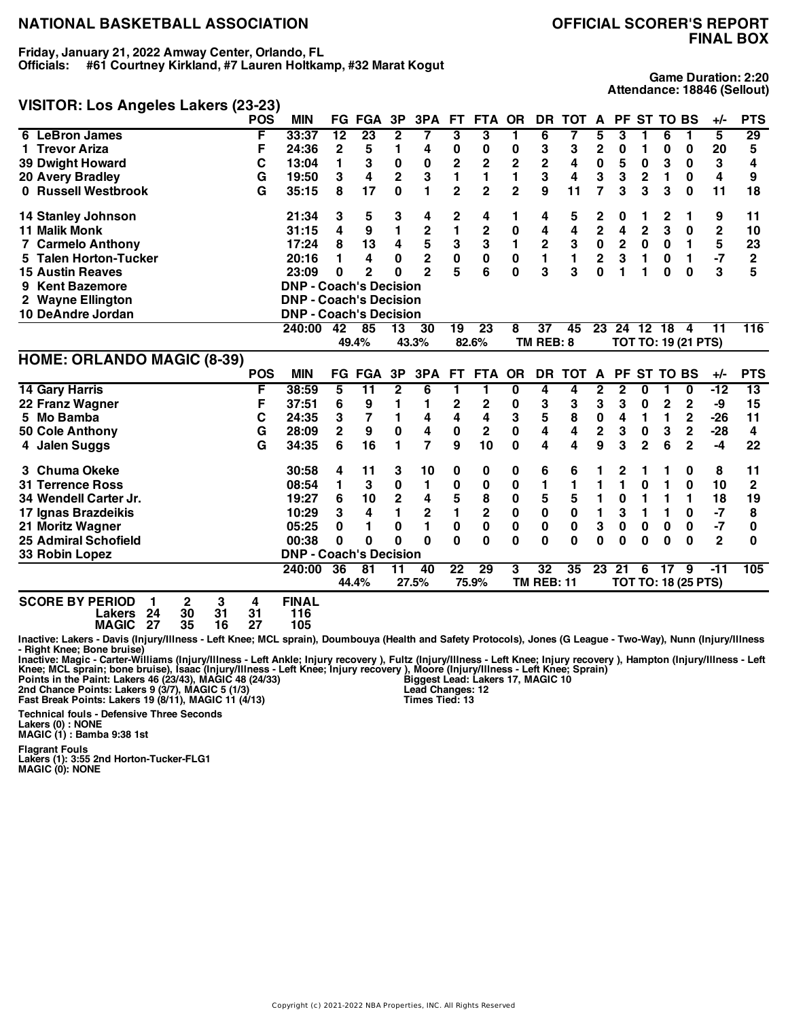**Friday, January 21, 2022 Amway Center, Orlando, FL Officials: #61 Courtney Kirkland, #7 Lauren Holtkamp, #32 Marat Kogut**

## **VISITOR: Los Angeles Lakers (23-23)**

**Game Duration: 2:20 Attendance: 18846 (Sellout)**

|                                   | <b>POS</b> | <b>MIN</b>                    |                 | <b>FG FGA</b>   | 3P                      | 3PA                     | FT.             | <b>FTA</b>              | <b>OR</b>      | <b>DR</b>         | <b>TOT</b>  | A              | <b>PF</b>    |                | <b>ST TO BS</b> |                            | $+/-$        | <b>PTS</b>   |
|-----------------------------------|------------|-------------------------------|-----------------|-----------------|-------------------------|-------------------------|-----------------|-------------------------|----------------|-------------------|-------------|----------------|--------------|----------------|-----------------|----------------------------|--------------|--------------|
| 6 LeBron James                    | F          | 33:37                         | $\overline{12}$ | 23              | $\mathbf{2}$            | 7                       | 3               | 3                       | 1              | 6                 | 7           | 5              | 3            |                | 6               | 1                          | 5            | 29           |
| 1 Trevor Ariza                    | F          | 24:36                         | 2               | 5               | 1                       | 4                       | 0               | 0                       | 0              | 3                 | 3           | $\mathbf 2$    | 0            | 1              | 0               | 0                          | 20           | 5            |
| <b>39 Dwight Howard</b>           | С          | 13:04                         | 1               | 3               | $\pmb{0}$               | 0                       | $\overline{c}$  | $\overline{c}$          | 2              | $\mathbf 2$       | 4           | $\pmb{0}$      | 5            | 0              | 3               | 0                          | 3            | 4            |
| <b>20 Avery Bradley</b>           | G          | 19:50                         | 3               | 4               | $\overline{\mathbf{2}}$ | 3                       | 1               | 1                       |                | 3                 | 4           | 3              | 3            | $\mathbf{2}$   | 1               | 0                          | 4            | 9            |
| 0 Russell Westbrook               | G          | 35:15                         | 8               | 17              | $\mathbf{0}$            | 1                       | $\overline{2}$  | $\overline{2}$          | $\overline{2}$ | 9                 | 11          | $\overline{7}$ | 3            | 3              | 3               | $\bf{0}$                   | 11           | 18           |
| <b>14 Stanley Johnson</b>         |            | 21:34                         | 3               | 5               | 3                       | 4                       | 2               | 4                       | 1              | 4                 | 5           | 2              | 0            | 1              | 2               | 1                          | 9            | 11           |
| <b>11 Malik Monk</b>              |            | 31:15                         | 4               | 9               | 1                       | 2                       | 1               | 2                       | 0              | 4                 | 4           | $\mathbf 2$    | 4            | $\overline{2}$ | 3               | 0                          | 2            | 10           |
| 7 Carmelo Anthony                 |            | 17:24                         | 8               | 13              | 4                       | 5                       | 3               | 3                       | 1              | $\mathbf 2$       | 3           | $\pmb{0}$      | $\mathbf 2$  | 0              | 0               | 1                          | 5            | 23           |
| 5 Talen Horton-Tucker             |            | 20:16                         | 1               | 4               | 0                       | $\overline{\mathbf{c}}$ | $\bf{0}$        | $\bf{0}$                | 0              | $\blacksquare$    | 1           | $\bf 2$        | 3            | 1              | 0               | 1                          | $-7$         | $\mathbf 2$  |
| <b>15 Austin Reaves</b>           |            | 23:09                         | 0               | 2               | O                       | $\overline{2}$          | 5               | 6                       | $\bf{0}$       | 3                 | 3           | $\mathbf{0}$   | 1            | 1              | 0               | 0                          | 3            | 5            |
| 9 Kent Bazemore                   |            | <b>DNP - Coach's Decision</b> |                 |                 |                         |                         |                 |                         |                |                   |             |                |              |                |                 |                            |              |              |
| 2 Wayne Ellington                 |            | <b>DNP - Coach's Decision</b> |                 |                 |                         |                         |                 |                         |                |                   |             |                |              |                |                 |                            |              |              |
| 10 DeAndre Jordan                 |            | <b>DNP - Coach's Decision</b> |                 |                 |                         |                         |                 |                         |                |                   |             |                |              |                |                 |                            |              |              |
|                                   |            | 240:00                        | 42              | 85              | 13                      | 30                      | 19              | 23                      | 8              | $\overline{37}$   | 45          | 23             |              | 24 12 18       |                 | $\overline{a}$             | 11           | 116          |
|                                   |            |                               |                 | 49.4%           |                         | 43.3%                   |                 | 82.6%                   |                | TM REB: 8         |             |                |              |                |                 | TOT TO: 19 (21 PTS)        |              |              |
| <b>HOME: ORLANDO MAGIC (8-39)</b> |            |                               |                 |                 |                         |                         |                 |                         |                |                   |             |                |              |                |                 |                            |              |              |
|                                   | <b>POS</b> | <b>MIN</b>                    |                 | <b>FG FGA</b>   | 3P                      | 3PA                     | FT.             | <b>FTA</b>              | <b>OR</b>      | <b>DR</b>         | <b>TOT</b>  | A              | <b>PF</b>    |                | ST TO BS        |                            | $+/-$        | <b>PTS</b>   |
| <b>14 Gary Harris</b>             | F          | 38:59                         | 5               | $\overline{11}$ | $\mathbf{2}$            | 6                       | 1               | 1                       | 0              | 4                 | 4           | 2              | $\mathbf{2}$ | 0              |                 | 0                          | $-12$        | 13           |
| 22 Franz Wagner                   | F          | 37:51                         | 6               | 9               | 1                       | 1                       | 2               | 2                       | 0              | 3                 | 3           | 3              | 3            | 0              | 2               | $\mathbf{2}$               | -9           | 15           |
| 5 Mo Bamba                        | С          | 24:35                         | 3               | 7               | 1                       | 4                       | 4               | 4                       | 3              | ${\bf 5}$         | 8           | $\pmb{0}$      | 4            | 1              | 1               | 2                          | $-26$        | 11           |
| 50 Cole Anthony                   | G          | 28:09                         | 2               | 9               | 0                       | 4                       | 0               | $\mathbf 2$             | 0              | 4                 | 4           | $\mathbf 2$    | 3            | 0              | 3               | $\mathbf 2$                | $-28$        | 4            |
| 4 Jalen Suggs                     | G          | 34:35                         | 6               | 16              | 1                       | 7                       | 9               | 10                      | 0              | 4                 | 4           | 9              | 3            | $\overline{2}$ | 6               | $\overline{2}$             | $-4$         | 22           |
| 3 Chuma Okeke                     |            | 30:58                         | 4               | 11              | 3                       | 10                      | 0               | 0                       | 0              | 6                 | 6           |                | 2            |                |                 | 0                          | 8            | 11           |
| <b>31 Terrence Ross</b>           |            | 08:54                         | 1               | 3               | $\bf{0}$                | 1                       | 0               | 0                       | 0              | 1                 | 1           |                | 1            | 0              | 1               | 0                          | 10           | $\mathbf{2}$ |
| 34 Wendell Carter Jr.             |            | 19:27                         | 6               | 10              | 2                       | 4                       | 5               | 8                       | 0              | 5                 | 5           | 1              | $\bf{0}$     | 1              | 1               | 1                          | 18           | 19           |
| 17 Ignas Brazdeikis               |            | 10:29                         | 3               | 4               | 1                       | 2                       | $\blacksquare$  | $\overline{\mathbf{c}}$ | 0              | $\mathbf 0$       | $\bf{0}$    | 1              | 3            | 1              | 1               | 0                          | $-7$         | 8            |
| 21 Moritz Wagner                  |            | 05:25                         | 0               | 1               | 0                       | 1                       | $\bf{0}$        | $\mathbf 0$             | 0              | $\mathbf{0}$      | $\mathbf 0$ | 3              | 0            | 0              | $\bf{0}$        | 0                          | $-7$         | 0            |
| <b>25 Admiral Schofield</b>       |            | 00:38                         | 0               | 0               | $\bf{0}$                | $\bf{0}$                | $\bf{0}$        | 0                       | 0              | 0                 | 0           | $\bf{0}$       | 0            | 0              | 0               | 0                          | $\mathbf{2}$ | $\bf{0}$     |
| 33 Robin Lopez                    |            | <b>DNP - Coach's Decision</b> |                 |                 |                         |                         |                 |                         |                |                   |             |                |              |                |                 |                            |              |              |
|                                   |            | 240:00                        | 36              | 81              | 11                      | 40                      | $\overline{22}$ | 29                      | 3              | $\overline{32}$   | 35          | 23             | 21           | 6              | 17              | 9                          | $-11$        | 105          |
|                                   |            |                               |                 | 44.4%           |                         | 27.5%                   |                 | 75.9%                   |                | <b>TM REB: 11</b> |             |                |              |                |                 | <b>TOT TO: 18 (25 PTS)</b> |              |              |

| <b>SCORE BY PERIOD 1</b> |    |      |      | <b>FINAL</b> |
|--------------------------|----|------|------|--------------|
| Lakers 24                | 30 | - 31 | - 31 | 116          |
| MAGIC 27                 | 35 | -16  | -27  | 105          |

Inactive: Lakers - Davis (Injury/Illness - Left Knee; MCL sprain), Doumbouya (Health and Safety Protocols), Jones (G League - Two-Way), Nunn (Injury/Illness **- Right Knee; Bone bruise)**

Inactive: Magic - Carter-Williams (Injury/Illness - Left Ankle; Injury recovery ), Fultz (Injury/Illness - Left Knee; Injury recovery ), Hampton (Injury/Illness - Left Knee; MCL sprain; bone bruise), Isaac (Injury/Illness

**Biggest Lead: Lakers 17, MAGIC 10 Lead Changes: 12 Times Tied: 13**

**Technical fouls - Defensive Three Seconds**

**Lakers (0) : NONE MAGIC (1) : Bamba 9:38 1st**

**Flagrant Fouls Lakers (1): 3:55 2nd Horton-Tucker-FLG1 MAGIC (0): NONE**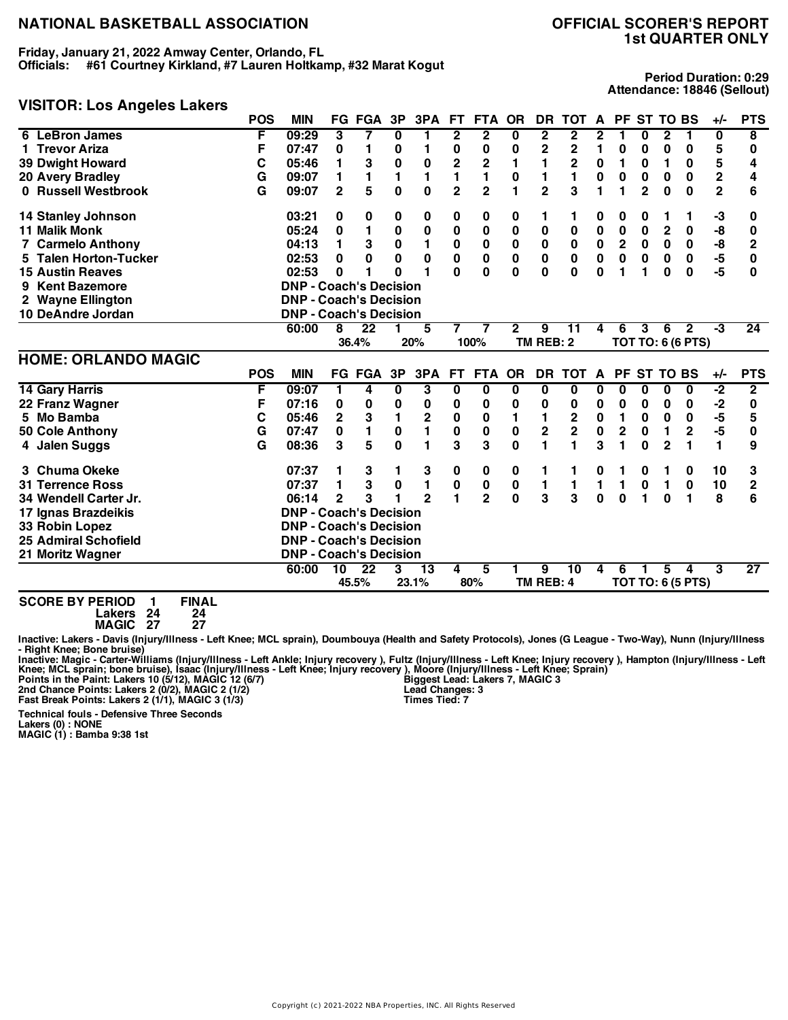**Friday, January 21, 2022 Amway Center, Orlando, FL Officials: #61 Courtney Kirkland, #7 Lauren Holtkamp, #32 Marat Kogut**

## **VISITOR: Los Angeles Lakers**

**Period Duration: 0:29 Attendance: 18846 (Sellout)**

|                             | <b>POS</b> | <b>MIN</b>                    |                | <b>FG FGA</b>            | 3P                      | 3PA            | FT.                     | FTA OR         |              | DR.            | <b>TOT</b>              | A           |                         | PF ST TO BS     |                |                               | $+/-$                   | <b>PTS</b>     |
|-----------------------------|------------|-------------------------------|----------------|--------------------------|-------------------------|----------------|-------------------------|----------------|--------------|----------------|-------------------------|-------------|-------------------------|-----------------|----------------|-------------------------------|-------------------------|----------------|
| <b>LeBron James</b><br>6    | F          | 09:29                         | 3              | 7                        | 0                       | 1              | 2                       | $\mathbf{2}$   | 0            | $\mathbf{2}$   | 2                       | 2           | 1                       | 0               | $\mathbf{2}$   | 1                             | 0                       | 8              |
| <b>Trevor Ariza</b>         | F          | 07:47                         | 0              | 1                        | 0                       | 1              | 0                       | 0              | 0            | $\mathbf 2$    | $\overline{2}$          | 1           | 0                       | 0               | 0              | 0                             | 5                       | 0              |
| <b>39 Dwight Howard</b>     | С          | 05:46                         | 1              | 3                        | $\bf{0}$                | 0              | 2                       | 2              | 1            | 1              | $\overline{\mathbf{2}}$ | $\pmb{0}$   | 1                       | 0               | 1              | 0                             | 5                       | 4              |
| <b>20 Avery Bradley</b>     | G          | 09:07                         | 1              | 1                        | 1                       | 1              | 1                       | 1              | 0            | 1              | 1                       | 0           | 0                       | 0               | 0              | 0                             | $\overline{\mathbf{2}}$ | 4              |
| 0 Russell Westbrook         | G          | 09:07                         | $\overline{2}$ | 5                        | $\bf{0}$                | 0              | $\overline{2}$          | $\overline{2}$ | 1            | $\overline{2}$ | 3                       | 1           | 1                       | $\mathbf 2$     | $\bf{0}$       | $\bf{0}$                      | $\mathbf{2}$            | 6              |
| 14 Stanley Johnson          |            | 03:21                         | 0              | 0                        | 0                       | 0              | 0                       | 0              | 0            | 1              | 1                       | 0           | 0                       | 0               |                |                               | -3                      | 0              |
| <b>11 Malik Monk</b>        |            | 05:24                         | 0              |                          | 0                       | 0              | 0                       | 0              | $\bf{0}$     | 0              | 0                       | 0           | 0                       | 0               | $\mathbf{2}$   | 0                             | -8                      | 0              |
| <b>7 Carmelo Anthony</b>    |            | 04:13                         | 1              | 3                        | $\mathbf 0$             | 1              | 0                       | $\pmb{0}$      | 0            | $\pmb{0}$      | $\pmb{0}$               | $\pmb{0}$   | $\overline{\mathbf{2}}$ | $\mathbf 0$     | $\mathbf 0$    | 0                             | -8                      | $\mathbf{2}$   |
| 5 Talen Horton-Tucker       |            | 02:53                         | 0              | $\bf{0}$                 | 0                       | $\bf{0}$       | $\mathbf 0$             | $\bf{0}$       | $\mathbf 0$  | $\mathbf 0$    | $\bf{0}$                | $\mathbf 0$ | $\mathbf 0$             | $\bf{0}$        | 0              | $\mathbf 0$                   | $-5$                    | 0              |
| <b>15 Austin Reaves</b>     |            | 02:53                         | 0              |                          | ი                       | 1              | $\Omega$                | $\mathbf 0$    | $\bf{0}$     | $\mathbf{0}$   | $\bf{0}$                | $\bf{0}$    | 1                       | 1               | 0              | $\bf{0}$                      | $-5$                    | 0              |
| 9 Kent Bazemore             |            | <b>DNP - Coach's Decision</b> |                |                          |                         |                |                         |                |              |                |                         |             |                         |                 |                |                               |                         |                |
| 2 Wayne Ellington           |            | <b>DNP - Coach's Decision</b> |                |                          |                         |                |                         |                |              |                |                         |             |                         |                 |                |                               |                         |                |
| 10 DeAndre Jordan           |            | <b>DNP - Coach's Decision</b> |                |                          |                         |                |                         |                |              |                |                         |             |                         |                 |                |                               |                         |                |
|                             |            | 60:00                         | 8              | 22                       |                         | 5              | 7                       | 7              | 2            | 9              | 11                      | 4           | 6                       | 3               | 6              | $\mathbf{2}$                  | -3                      | 24             |
|                             |            |                               |                | 36.4%                    |                         | 20%            |                         | 100%           |              | TM REB: 2      |                         |             |                         |                 |                | <b>TOT TO: 6 (6 PTS)</b>      |                         |                |
|                             |            |                               |                |                          |                         |                |                         |                |              |                |                         |             |                         |                 |                |                               |                         |                |
| <b>HOME: ORLANDO MAGIC</b>  |            |                               |                |                          |                         |                |                         |                |              |                |                         |             |                         |                 |                |                               |                         |                |
|                             | <b>POS</b> | <b>MIN</b>                    |                | <b>FG FGA</b>            | 3P                      | 3PA            | FT.                     | <b>FTA</b>     | OR           | DR.            | <b>TOT</b>              | A           | <b>PF</b>               | <b>ST TO BS</b> |                |                               | +/-                     | <b>PTS</b>     |
| <b>14 Gary Harris</b>       | F          | 09:07                         | 1              | 4                        | $\overline{\mathbf{0}}$ | 3              | $\overline{\mathbf{0}}$ | 0              | 0            | 0              | 0                       | 0           | 0                       | $\bf{0}$        | 0              | 0                             | Ŀ,                      | $\overline{2}$ |
| 22 Franz Wagner             | F          | 07:16                         | 0              | 0                        | 0                       | 0              | 0                       | 0              | 0            | 0              | 0                       | $\mathbf 0$ | 0                       | 0               | 0              | 0                             | $-2$                    | 0              |
| 5 Mo Bamba                  | C          | 05:46                         | $\overline{2}$ | 3                        | $\mathbf{1}$            | $\mathbf 2$    | $\pmb{0}$               | 0              | 1            | 1              | $\mathbf 2$             | $\pmb{0}$   | 1                       | 0               | $\bf{0}$       | 0                             | -5                      | 5              |
| 50 Cole Anthony             | G          | 07:47                         | 0              | 1                        | $\pmb{0}$               | $\blacksquare$ | 0                       | 0              | 0            | $\mathbf 2$    | $\overline{2}$          | $\pmb{0}$   | $\overline{c}$          | 0               | 1              | $\mathbf{2}$                  | $-5$                    | 0              |
| 4 Jalen Suggs               | G          | 08:36                         | 3              | 5                        | $\mathbf 0$             | $\blacksquare$ | 3                       | 3              | $\bf{0}$     | 1              | 1                       | 3           | 1                       | $\bf{0}$        | $\overline{2}$ | 1                             | 1                       | 9              |
| 3 Chuma Okeke               |            | 07:37                         | 1              | 3                        | 1                       | 3              | 0                       | 0              | 0            | 1              |                         | 0           |                         | 0               | 1              | 0                             | 10                      | 3              |
| <b>31 Terrence Ross</b>     |            | 07:37                         | 1              | 3                        | 0                       | 1              | 0                       | $\pmb{0}$      | 0            | 1              | 1                       | 1           | 1                       | $\mathbf 0$     | 1              | $\mathbf 0$                   | 10                      | $\mathbf{2}$   |
| 34 Wendell Carter Jr.       |            | 06:14                         | $\overline{2}$ | 3                        |                         | $\overline{2}$ | 1                       | $\overline{2}$ | $\mathbf{0}$ | 3              | 3                       | $\bf{0}$    | $\bf{0}$                | 1               | $\bf{0}$       | 1                             | 8                       | 6              |
| 17 Ignas Brazdeikis         |            | <b>DNP - Coach's Decision</b> |                |                          |                         |                |                         |                |              |                |                         |             |                         |                 |                |                               |                         |                |
| 33 Robin Lopez              |            | <b>DNP - Coach's Decision</b> |                |                          |                         |                |                         |                |              |                |                         |             |                         |                 |                |                               |                         |                |
| <b>25 Admiral Schofield</b> |            | <b>DNP - Coach's Decision</b> |                |                          |                         |                |                         |                |              |                |                         |             |                         |                 |                |                               |                         |                |
| 21 Moritz Wagner            |            | <b>DNP - Coach's Decision</b> |                |                          |                         |                |                         |                |              |                |                         |             |                         |                 |                |                               |                         |                |
|                             |            | 60:00                         | 10             | $\overline{22}$<br>45.5% | 3                       | 13             | 4                       | 5              |              | 9<br>TM REB: 4 | 10                      | 4           | 6                       |                 | 5              | 4<br><b>TOT TO: 6 (5 PTS)</b> | 3                       | 27             |

**SCORE BY PERIOD 1 FINAL**

**Lakers 24 24 MAGIC 27 27**

Inactive: Lakers - Davis (Injury/Illness - Left Knee; MCL sprain), Doumbouya (Health and Safety Protocols), Jones (G League - Two-Way), Nunn (Injury/Illness **- Right Knee; Bone bruise)**

Inactive: Magic - Carter-Williams (Injury/Illness - Left Ankle; Injury recovery ), Fultz (Injury/Illness - Left Knee; Injury recovery ), Hampton (Injury/Illness - Left<br>Knee; MCL sprain; bone bruise), Isaac (Injury/Illness

**Technical fouls - Defensive Three Seconds**

**Lakers (0) : NONE MAGIC (1) : Bamba 9:38 1st**

Copyright (c) 2021-2022 NBA Properties, INC. All Rights Reserved

**Biggest Lead: Lakers 7, MAGIC 3 Lead Changes: 3 Times Tied: 7**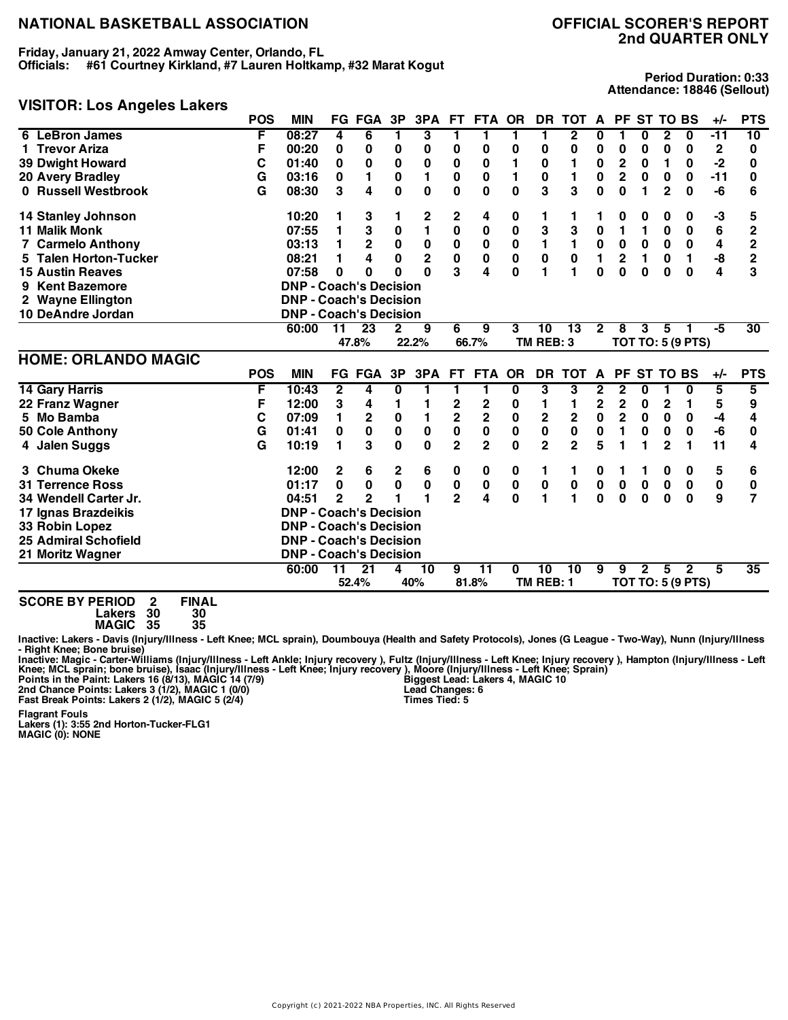**Friday, January 21, 2022 Amway Center, Orlando, FL Officials: #61 Courtney Kirkland, #7 Lauren Holtkamp, #32 Marat Kogut**

## **VISITOR: Los Angeles Lakers**

**Period Duration: 0:33 Attendance: 18846 (Sellout)**

|                             | <b>POS</b> | <b>MIN</b>                    |                 | <b>FG FGA</b>   | 3P           | 3PA                     | FT.                          | <b>FTA</b>                   | <b>OR</b>   | <b>DR</b>      | <b>TOT</b>     | A              | <b>PF</b>               | <b>ST TO BS</b> |                |                          | $+/-$        | <b>PTS</b>      |
|-----------------------------|------------|-------------------------------|-----------------|-----------------|--------------|-------------------------|------------------------------|------------------------------|-------------|----------------|----------------|----------------|-------------------------|-----------------|----------------|--------------------------|--------------|-----------------|
| 6 LeBron James              | F          | 08:27                         | 4               | 6               | 1            | 3                       | 1                            | 1                            | 1           | 1              | $\mathbf{2}$   | 0              | 1                       | 0               | $\mathbf{2}$   | $\mathbf 0$              | $-11$        | 10              |
| 1 Trevor Ariza              | F          | 00:20                         | 0               | 0               | 0            | 0                       | 0                            | 0                            | 0           | 0              | 0              | 0              | 0                       | 0               | 0              | 0                        | $\mathbf{2}$ | 0               |
| <b>39 Dwight Howard</b>     | C          | 01:40                         | 0               | $\bf{0}$        | $\bf{0}$     | $\bf{0}$                | 0                            | $\bf{0}$                     |             | 0              | 1              | 0              | $\overline{\mathbf{c}}$ | 0               | 1              | 0                        | $-2$         | 0               |
| <b>20 Avery Bradley</b>     | G          | 03:16                         | 0               | 1               | $\pmb{0}$    | 1                       | 0                            | 0                            | 1           | $\bf{0}$       | 1              | 0              | $\overline{2}$          | $\bf{0}$        | $\bf{0}$       | 0                        | $-11$        | 0               |
| 0 Russell Westbrook         | G          | 08:30                         | 3               | 4               | $\mathbf{0}$ | 0                       | 0                            | 0                            | 0           | 3              | 3              | 0              | 0                       | 1               | $\overline{2}$ | 0                        | -6           | 6               |
| 14 Stanley Johnson          |            | 10:20                         | 1               | 3               | 1            | 2                       | 2                            | 4                            | 0           | 1              | 1              |                | 0                       | 0               | 0              | 0                        | -3           | 5               |
| <b>11 Malik Monk</b>        |            | 07:55                         | 1               | 3               | 0            | 1                       | 0                            | $\bf{0}$                     | $\bf{0}$    | 3              | 3              | 0              | 1                       | 1               | 0              | 0                        | 6            | $\mathbf{2}$    |
| <b>7 Carmelo Anthony</b>    |            | 03:13                         | 1               | $\mathbf 2$     | $\pmb{0}$    | $\pmb{0}$               | 0                            | $\pmb{0}$                    | 0           | 1              | $\mathbf{1}$   | $\pmb{0}$      | $\pmb{0}$               | 0               | $\mathbf 0$    | $\mathbf 0$              | 4            | $\overline{2}$  |
| 5 Talen Horton-Tucker       |            | 08:21                         | 1               | 4               | $\mathbf{0}$ | $\overline{\mathbf{c}}$ | $\mathbf 0$                  | $\pmb{0}$                    | $\bf{0}$    | $\mathbf 0$    | $\mathbf 0$    | $\blacksquare$ | $\overline{2}$          | 1               | $\bf{0}$       | $\mathbf{1}$             | -8           | $\overline{2}$  |
| <b>15 Austin Reaves</b>     |            | 07:58                         | 0               | 0               | O            | O                       | 3                            | 4                            | $\bf{0}$    | 1              | 1              | $\bf{0}$       | 0                       | $\bf{0}$        | 0              | $\bf{0}$                 | 4            | 3               |
| 9 Kent Bazemore             |            | <b>DNP - Coach's Decision</b> |                 |                 |              |                         |                              |                              |             |                |                |                |                         |                 |                |                          |              |                 |
| 2 Wayne Ellington           |            | <b>DNP - Coach's Decision</b> |                 |                 |              |                         |                              |                              |             |                |                |                |                         |                 |                |                          |              |                 |
| 10 DeAndre Jordan           |            | <b>DNP - Coach's Decision</b> |                 |                 |              |                         |                              |                              |             |                |                |                |                         |                 |                |                          |              |                 |
|                             |            | 60:00                         | $\overline{11}$ | $\overline{23}$ | $\mathbf{2}$ | 9                       | 6                            | 9                            | 3           | 10             | 13             | $\overline{2}$ | 8                       | 3               | 5              |                          | -5           | 30              |
|                             |            |                               |                 | 47.8%           |              | 22.2%                   |                              | 66.7%                        |             | TM REB: 3      |                |                |                         |                 |                | <b>TOT TO: 5 (9 PTS)</b> |              |                 |
|                             |            |                               |                 |                 |              |                         |                              |                              |             |                |                |                |                         |                 |                |                          |              |                 |
| <b>HOME: ORLANDO MAGIC</b>  |            |                               |                 |                 |              |                         |                              |                              |             |                |                |                |                         |                 |                |                          |              |                 |
|                             | <b>POS</b> | <b>MIN</b>                    |                 | <b>FG FGA</b>   | 3P           | 3PA                     | FT.                          | <b>FTA</b>                   | <b>OR</b>   | <b>DR</b>      | <b>TOT</b>     | A              | <b>PF</b>               | <b>ST</b>       | <b>TO BS</b>   |                          | +/-          | <b>PTS</b>      |
| <b>14 Gary Harris</b>       | F          | 10:43                         | $\mathbf{2}$    | 4               | 0            | 1                       | 1                            | 1                            | 0           | 3              | 3              | 2              | 2                       | 0               |                | 0                        | 5            | 5               |
| 22 Franz Wagner             | F          | 12:00                         | 3               | 4               | 1            | 1                       |                              |                              | 0           | 1              | 1              | 2              | 2                       | 0               | 2              | 1                        | 5            | 9               |
| 5 Mo Bamba                  | C          | 07:09                         | 1               | $\mathbf 2$     | $\pmb{0}$    | 1                       | 2<br>$\overline{\mathbf{2}}$ | 2<br>$\overline{\mathbf{2}}$ | $\mathbf 0$ | $\mathbf 2$    | $\mathbf 2$    | $\mathbf 0$    | $\overline{2}$          | $\bf{0}$        | $\bf{0}$       | 0                        | -4           | 4               |
| 50 Cole Anthony             | G          | 01:41                         | $\mathbf 0$     | $\mathbf 0$     | $\mathbf 0$  | $\pmb{0}$               | $\bf{0}$                     | $\mathbf 0$                  | $\bf{0}$    | $\mathbf 0$    | $\bf{0}$       | 0              | 1                       | 0               | $\bf{0}$       | 0                        | -6           | 0               |
| 4 Jalen Suggs               | G          | 10:19                         | 1               | 3               | $\bf{0}$     | 0                       | $\overline{2}$               | $\overline{2}$               | $\bf{0}$    | $\overline{2}$ | $\overline{2}$ | 5              | 1                       | 1               | $\overline{2}$ | 1                        | 11           | 4               |
| 3 Chuma Okeke               |            | 12:00                         | 2               | 6               | $\mathbf 2$  | 6                       | 0                            | 0                            | 0           | 1              | 1              | 0              | 1                       | 1               | 0              | 0                        | 5            | 6               |
| <b>31 Terrence Ross</b>     |            | 01:17                         | 0               | 0               | $\mathbf 0$  | $\pmb{0}$               | $\bf{0}$                     | 0                            | 0           | 0              | $\pmb{0}$      | $\mathbf 0$    | $\pmb{0}$               | $\mathbf 0$     | $\pmb{0}$      | $\mathbf 0$              | 0            | 0               |
| 34 Wendell Carter Jr.       |            | 04:51                         | 2               | $\overline{2}$  |              | 1                       | $\overline{2}$               | 4                            | $\bf{0}$    | 1              | 1              | $\Omega$       | 0                       | $\bf{0}$        | $\bf{0}$       | $\bf{0}$                 | 9            | 7               |
| 17 Ignas Brazdeikis         |            | <b>DNP - Coach's Decision</b> |                 |                 |              |                         |                              |                              |             |                |                |                |                         |                 |                |                          |              |                 |
| 33 Robin Lopez              |            | <b>DNP - Coach's Decision</b> |                 |                 |              |                         |                              |                              |             |                |                |                |                         |                 |                |                          |              |                 |
| <b>25 Admiral Schofield</b> |            | <b>DNP - Coach's Decision</b> |                 |                 |              |                         |                              |                              |             |                |                |                |                         |                 |                |                          |              |                 |
| 21 Moritz Wagner            |            | <b>DNP - Coach's Decision</b> |                 |                 |              |                         |                              |                              |             |                |                |                |                         |                 |                |                          |              |                 |
|                             |            | 60:00                         | $\overline{11}$ | $\overline{21}$ | 4            | $\overline{10}$         | 9                            | $\overline{11}$              | 0           | 10             | 10             | 9              | 9                       | $\overline{2}$  | 5              | $\mathbf{2}$             | 5            | $\overline{35}$ |

**SCORE BY PERIOD 2 FINAL Lakers 30 30**

**MAGIC 35 35**

Inactive: Lakers - Davis (Injury/Illness - Left Knee; MCL sprain), Doumbouya (Health and Safety Protocols), Jones (G League - Two-Way), Nunn (Injury/Illness **- Right Knee; Bone bruise)**

Inactive: Magic - Carter-Williams (Injury/Illness - Left Ankle; Injury recovery ), Fultz (Injury/Illness - Left Knee; Injury recovery ), Hampton (Injury/Illness - Left<br>Knee; MCL sprain; bone bruise), Isaac (Injury/Illness

**Flagrant Fouls Lakers (1): 3:55 2nd Horton-Tucker-FLG1 MAGIC (0): NONE** **Biggest Lead: Lakers 4, MAGIC 10 Lead Changes: 6 Times Tied: 5**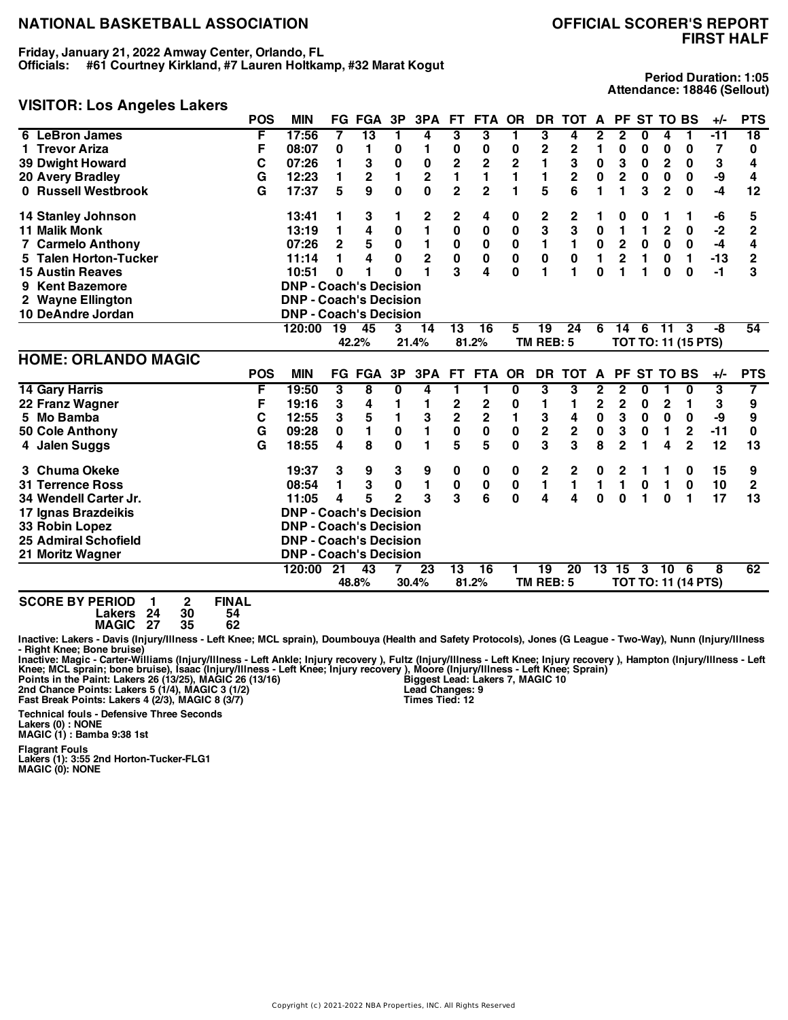**Friday, January 21, 2022 Amway Center, Orlando, FL Officials: #61 Courtney Kirkland, #7 Lauren Holtkamp, #32 Marat Kogut**

## **FIRST HALF**

**Period Duration: 1:05 Attendance: 18846 (Sellout)**

#### **VISITOR: Los Angeles Lakers**

|                             | <b>POS</b> | <b>MIN</b>                    |              | <b>FG FGA</b> | 3P             | 3PA                     | FT.                     | FTA OR         |              | <b>DR</b>   | тот          | A           |                         |          | PF ST TO BS |                            | $+/-$ | <b>PTS</b>      |
|-----------------------------|------------|-------------------------------|--------------|---------------|----------------|-------------------------|-------------------------|----------------|--------------|-------------|--------------|-------------|-------------------------|----------|-------------|----------------------------|-------|-----------------|
| 6 LeBron James              | F          | 17:56                         | 7            | 13            |                | 4                       | 3                       | 3              | 1            | 3           | 4            | 2           | 2                       | 0        | 4           |                            | $-11$ | $\overline{18}$ |
| 1 Trevor Ariza              | F          | 08:07                         | 0            | 1             | 0              | 1                       | 0                       | 0              | 0            | 2           | 2            | 1           | 0                       | 0        | 0           | 0                          | 7     | 0               |
| <b>39 Dwight Howard</b>     | С          | 07:26                         | 1            | 3             | 0              | $\bf{0}$                | 2                       | $\mathbf{2}$   | $\mathbf{2}$ | 1           | 3            | 0           | 3                       | 0        | 2           | 0                          | 3     | 4               |
| 20 Avery Bradley            | G          | 12:23                         | 1            | $\mathbf 2$   | 1              | $\overline{\mathbf{c}}$ | 1                       | 1              |              | 1           | $\mathbf{2}$ | 0           | $\overline{2}$          | $\bf{0}$ | $\bf{0}$    | 0                          | -9    | 4               |
| 0 Russell Westbrook         | G          | 17:37                         | 5            | 9             | $\bf{0}$       | 0                       | $\mathbf 2$             | $\overline{2}$ | 1            | 5           | 6            |             | 1                       | 3        | $\mathbf 2$ | $\mathbf 0$                | $-4$  | 12              |
| 14 Stanley Johnson          |            | 13:41                         | 1            | 3             | 1              | 2                       | 2                       | 4              | 0            | 2           | 2            | 1           | 0                       | 0        |             |                            | -6    | 5               |
| <b>11 Malik Monk</b>        |            | 13:19                         | 1            | 4             | 0              | $\mathbf{1}$            | 0                       | $\bf{0}$       | $\bf{0}$     | 3           | 3            | $\bf{0}$    | 1                       | 1        | $\mathbf 2$ | 0                          | $-2$  | $\mathbf{2}$    |
| <b>7 Carmelo Anthony</b>    |            | 07:26                         | $\mathbf{2}$ | 5             | $\pmb{0}$      | 1                       | $\pmb{0}$               | 0              | $\bf{0}$     | 1           | 1            | $\pmb{0}$   | $\overline{\mathbf{c}}$ | 0        | 0           | $\mathbf 0$                | $-4$  | 4               |
| 5 Talen Horton-Tucker       |            | 11:14                         | 1            | 4             | 0              | 2                       | $\bf{0}$                | 0              | 0            | $\mathbf 0$ | $\bf{0}$     | 1           | $\overline{2}$          | 1        | $\bf{0}$    | 1                          | $-13$ | 2               |
| <b>15 Austin Reaves</b>     |            | 10:51                         | 0            | 1             | 0              | 1                       | 3                       | 4              | 0            | 1           | 1            | $\bf{0}$    | 1                       | 1        | 0           | 0                          | -1    | 3               |
| 9 Kent Bazemore             |            | <b>DNP - Coach's Decision</b> |              |               |                |                         |                         |                |              |             |              |             |                         |          |             |                            |       |                 |
| 2 Wayne Ellington           |            | <b>DNP - Coach's Decision</b> |              |               |                |                         |                         |                |              |             |              |             |                         |          |             |                            |       |                 |
| 10 DeAndre Jordan           |            | <b>DNP - Coach's Decision</b> |              |               |                |                         |                         |                |              |             |              |             |                         |          |             |                            |       |                 |
|                             |            | 120:00                        | 19           | 45            | 3              | 14                      | $\overline{13}$         | 16             | 5            | 19          | 24           | 6           | 14                      | 6        | $-11$       | 3                          | -8    | 54              |
|                             |            |                               |              | 42.2%         |                | 21.4%                   |                         | 81.2%          |              | TM REB: 5   |              |             |                         |          |             | <b>TOT TO: 11 (15 PTS)</b> |       |                 |
| <b>HOME: ORLANDO MAGIC</b>  |            |                               |              |               |                |                         |                         |                |              |             |              |             |                         |          |             |                            |       |                 |
|                             | <b>POS</b> | <b>MIN</b>                    |              | <b>FG FGA</b> | 3P             | 3PA                     | <b>FT</b>               | <b>FTA</b>     | <b>OR</b>    | <b>DR</b>   | <b>TOT</b>   | A           | <b>PF</b>               |          | ST TO BS    |                            | $+/-$ | <b>PTS</b>      |
| <b>14 Gary Harris</b>       | F          | 19:50                         | 3            | 8             | 0              | 4                       | 1                       | 1              | 0            | 3           | 3            | 2           | 2                       | 0        |             | 0                          | 3     | 7               |
| 22 Franz Wagner             | F          | 19:16                         | 3            | 4             |                | 1                       | 2                       | 2              | 0            | 1           | 1            | $\mathbf 2$ | 2                       | 0        | 2           | 1                          | 3     | 9               |
| 5 Mo Bamba                  | С          | 12:55                         | 3            | 5             | 1              | 3                       | $\overline{\mathbf{c}}$ | 2              | 1            | 3           | 4            | $\pmb{0}$   | 3                       | 0        | 0           | 0                          | -9    | 9               |
| 50 Cole Anthony             | G          | 09:28                         | 0            | 1             | $\pmb{0}$      | 1                       | 0                       | 0              | 0            | $\mathbf 2$ | $\mathbf 2$  | 0           | 3                       | 0        | 1           | $\mathbf 2$                | $-11$ | 0               |
| 4 Jalen Suggs               | G          | 18:55                         | 4            | 8             | $\mathbf{0}$   | 1                       | 5                       | 5              | 0            | 3           | 3            | 8           | $\overline{2}$          | 1        | 4           | $\overline{2}$             | 12    | 13              |
| 3 Chuma Okeke               |            | 19:37                         | 3            | 9             | 3              | 9                       | 0                       | 0              | 0            | 2           | $\mathbf 2$  | 0           | 2                       |          |             | 0                          | 15    | 9               |
| <b>31 Terrence Ross</b>     |            | 08:54                         | 1            | 3             | $\pmb{0}$      | 1                       | 0                       | $\bf{0}$       | 0            | 1           | 1            | 1           | 1                       | $\bf{0}$ | 1           | $\bf{0}$                   | 10    | 2               |
| 34 Wendell Carter Jr.       |            | 11:05                         | 4            | 5             | $\overline{2}$ | 3                       | 3                       | 6              | 0            | 4           | 4            | $\bf{0}$    | 0                       | 1        | 0           | 1                          | 17    | 13              |
| 17 Ignas Brazdeikis         |            | <b>DNP - Coach's Decision</b> |              |               |                |                         |                         |                |              |             |              |             |                         |          |             |                            |       |                 |
| 33 Robin Lopez              |            | <b>DNP - Coach's Decision</b> |              |               |                |                         |                         |                |              |             |              |             |                         |          |             |                            |       |                 |
| <b>25 Admiral Schofield</b> |            | <b>DNP - Coach's Decision</b> |              |               |                |                         |                         |                |              |             |              |             |                         |          |             |                            |       |                 |
| 21 Moritz Wagner            |            | <b>DNP - Coach's Decision</b> |              |               |                |                         |                         |                |              |             |              |             |                         |          |             |                            |       |                 |
|                             |            | 120:00                        | 21           | 43            |                | 23                      | 13                      | 16             | 1            | 19          | 20           |             | 13 15                   | 3        | 10          | - 6                        | 8     | 62              |
|                             |            |                               |              | 48.8%         |                | 30.4%                   |                         | 81.2%          |              | TM REB: 5   |              |             |                         |          |             | <b>TOT TO: 11 (14 PTS)</b> |       |                 |

**SCORE BY PERIOD 1 2 FINAL Lakers 24 30 54 MAGIC 27 35 62**

Inactive: Lakers - Davis (Injury/Illness - Left Knee; MCL sprain), Doumbouya (Health and Safety Protocols), Jones (G League - Two-Way), Nunn (Injury/Illness **- Right Knee; Bone bruise)**

Inactive: Magic - Carter-Williams (Injury/Illness - Left Ankle; Injury recovery ), Fultz (Injury/Illness - Left Knee; Injury recovery ), Hampton (Injury/Illness - Left<br>Knee; MCL sprain; bone bruise), Isaac (Injury/Illness

**Technical fouls - Defensive Three Seconds**

**Biggest Lead: Lakers 7, MAGIC 10 Lead Changes: 9 Times Tied: 12**

**Lakers (0) : NONE MAGIC (1) : Bamba 9:38 1st**

**Flagrant Fouls Lakers (1): 3:55 2nd Horton-Tucker-FLG1 MAGIC (0): NONE**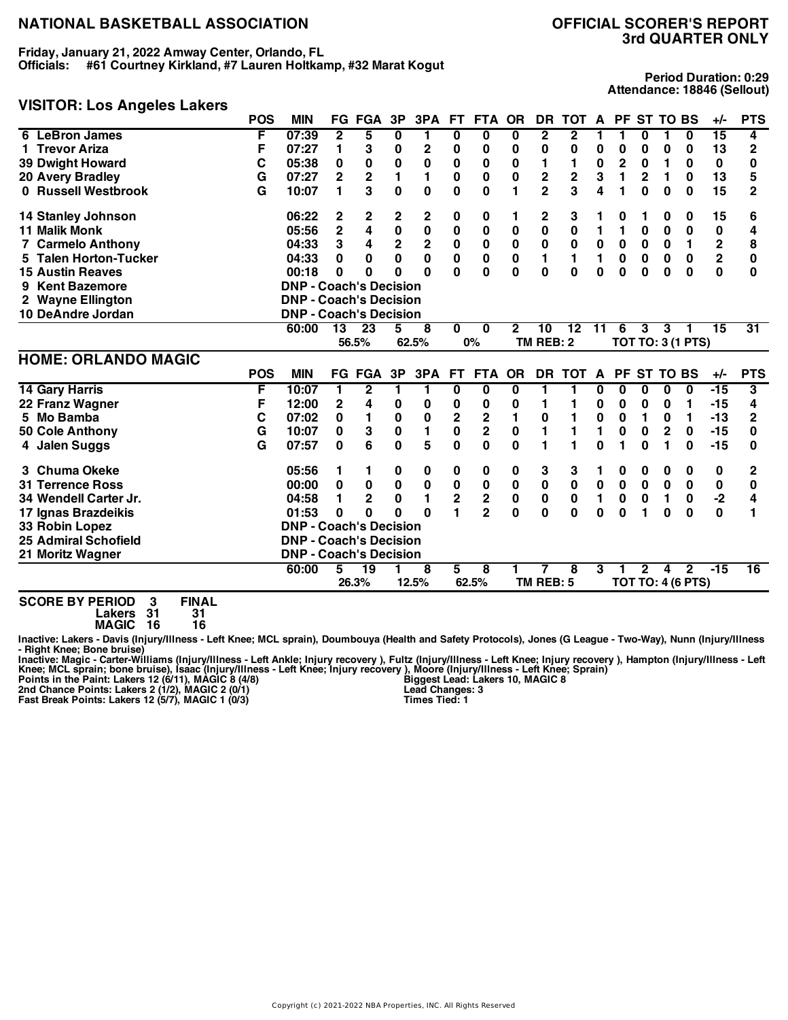**Friday, January 21, 2022 Amway Center, Orlando, FL Officials: #61 Courtney Kirkland, #7 Lauren Holtkamp, #32 Marat Kogut**

## **VISITOR: Los Angeles Lakers**

**Period Duration: 0:29 Attendance: 18846 (Sellout)**

|                                  | <b>POS</b> | <b>MIN</b>                    |                | <b>FG FGA</b> | 3P                     | 3PA          | FT.                          | <b>FTA</b>                                | <b>OR</b>    | DR.              | <b>TOT</b>     | A              |             | PF ST TO BS  |             |                          | $+/-$          | <b>PTS</b>      |
|----------------------------------|------------|-------------------------------|----------------|---------------|------------------------|--------------|------------------------------|-------------------------------------------|--------------|------------------|----------------|----------------|-------------|--------------|-------------|--------------------------|----------------|-----------------|
| 6 LeBron James                   | F          | 07:39                         | 2              | 5             | 0                      | 1            | 0                            | 0                                         | 0            | 2                | 2              |                | 1           | 0            |             | 0                        | 15             | 4               |
| 1 Trevor Ariza                   | F          | 07:27                         | 1              | 3             | 0                      | 2            | 0                            | 0                                         | 0            | 0                | 0              | 0              | 0           | 0            | 0           | 0                        | 13             | $\overline{2}$  |
| <b>39 Dwight Howard</b>          | C          | 05:38                         | 0              | 0             | $\pmb{0}$              | 0            | 0                            | 0                                         | 0            | 1                | 1              | $\pmb{0}$      | 2           | 0            | 1           | 0                        | 0              | 0               |
| 20 Avery Bradley                 | G          | 07:27                         | $\overline{2}$ | $\mathbf{2}$  | 1                      | 1            | 0                            | 0                                         | 0            | $\mathbf 2$      | $\mathbf 2$    | 3              | 1           | $\mathbf{2}$ | 1           | 0                        | 13             | 5               |
| 0 Russell Westbrook              | G          | 10:07                         | 1              | 3             | $\bf{0}$               | 0            | 0                            | 0                                         | 1            | $\overline{2}$   | 3              | 4              | 1           | $\bf{0}$     | $\bf{0}$    | $\bf{0}$                 | 15             | $\overline{2}$  |
| <b>14 Stanley Johnson</b>        |            | 06:22                         | 2              | 2             | $\mathbf 2$            | 2            | 0                            | 0                                         | 1            | 2                | 3              |                | 0           |              | 0           | 0                        | 15             | 6               |
| <b>11 Malik Monk</b>             |            | 05:56                         | $\overline{2}$ | 4             | $\mathbf 0$            | $\pmb{0}$    | 0                            | $\bf{0}$                                  | 0            | $\bf{0}$         | 0              | 1              | 1           | 0            | $\bf{0}$    | $\bf{0}$                 | 0              | 4               |
| <b>7 Carmelo Anthony</b>         |            | 04:33                         | 3              | 4             | $\mathbf 2$            | $\bf 2$      | 0                            | 0                                         | 0            | 0                | $\pmb{0}$      | $\pmb{0}$      | $\mathbf 0$ | 0            | $\mathbf 0$ | $\mathbf{1}$             | 2              | 8               |
| 5 Talen Horton-Tucker            |            | 04:33                         | 0              | $\bf{0}$      | $\mathbf 0$            | $\mathbf 0$  | $\mathbf 0$                  | $\pmb{0}$                                 | $\bf{0}$     | 1                | $\blacksquare$ | $\blacksquare$ | $\bf{0}$    | $\bf{0}$     | $\mathbf 0$ | $\mathbf 0$              | $\overline{2}$ | 0               |
| <b>15 Austin Reaves</b>          |            | 00:18                         | 0              | 0             | U                      | O            | O                            | $\bf{0}$                                  | $\bf{0}$     | $\bf{0}$         | $\bf{0}$       | $\bf{0}$       | 0           | $\bf{0}$     | $\bf{0}$    | $\bf{0}$                 | $\bf{0}$       | 0               |
| 9 Kent Bazemore                  |            | <b>DNP - Coach's Decision</b> |                |               |                        |              |                              |                                           |              |                  |                |                |             |              |             |                          |                |                 |
| 2 Wayne Ellington                |            | <b>DNP - Coach's Decision</b> |                |               |                        |              |                              |                                           |              |                  |                |                |             |              |             |                          |                |                 |
| 10 DeAndre Jordan                |            | <b>DNP - Coach's Decision</b> |                |               |                        |              |                              |                                           |              |                  |                |                |             |              |             |                          |                |                 |
|                                  |            | 60:00                         | 13             | 23            | 5                      | 8            | $\bf{0}$                     | 0                                         | $\mathbf{2}$ | 10               | $12 \,$        | 11             | 6           | 3            | 3           |                          | 15             | 31              |
|                                  |            |                               |                | 56.5%         |                        | 62.5%        |                              | $0\%$                                     |              | <b>TM REB: 2</b> |                |                |             |              |             | <b>TOT TO: 3 (1 PTS)</b> |                |                 |
|                                  |            |                               |                |               |                        |              |                              |                                           |              |                  |                |                |             |              |             |                          |                |                 |
|                                  |            |                               |                |               |                        |              |                              |                                           |              |                  |                |                |             |              |             |                          |                |                 |
| <b>HOME: ORLANDO MAGIC</b>       | <b>POS</b> | <b>MIN</b>                    |                | <b>FG FGA</b> | 3P                     | 3PA          | FT.                          | FTA                                       | <b>OR</b>    | <b>DR</b>        | <b>TOT</b>     | A              |             | PF ST TO BS  |             |                          | $+/-$          | <b>PTS</b>      |
|                                  | F          | 10:07                         | 1.             | $\mathbf{2}$  | 1                      | 1            | $\bf{0}$                     | 0                                         | 0            | 1                | 1              | 0              | 0           | 0            | $\bf{0}$    | 0                        | $-15$          | 3               |
| <b>14 Gary Harris</b>            | F          | 12:00                         | $\mathbf{2}$   | 4             | 0                      | 0            | 0                            | 0                                         | 0            | 1                | 1              | 0              | 0           | 0            | 0           | 1                        | -15            | 4               |
| 22 Franz Wagner<br>5 Mo Bamba    | C          | 07:02                         | 0              | 1             |                        |              |                              |                                           | 1            | 0                |                | 0              | 0           | 1            | $\bf{0}$    | 1                        | $-13$          | 2               |
|                                  | G          | 10:07                         | 0              | 3             | $\pmb{0}$<br>$\pmb{0}$ | 0<br>1       | 2<br>0                       | $\mathbf 2$<br>$\overline{\mathbf{2}}$    | $\bf{0}$     | 1                |                | 1              | 0           | $\bf{0}$     | $\mathbf 2$ | 0                        | $-15$          | 0               |
| 50 Cole Anthony<br>4 Jalen Suggs | G          | 07:57                         | 0              | 6             | $\mathbf{0}$           | 5            | 0                            | 0                                         | $\bf{0}$     | 1                |                | $\bf{0}$       | 1           | $\bf{0}$     | 1           | $\bf{0}$                 | $-15$          | 0               |
| 3 Chuma Okeke                    |            | 05:56                         | 1              | 1             | 0                      | 0            | 0                            | $\bf{0}$                                  | 0            | 3                | 3              |                | 0           | 0            | 0           | 0                        | 0              | 2               |
| <b>31 Terrence Ross</b>          |            | 00:00                         | 0              | $\pmb{0}$     | $\pmb{0}$              | $\pmb{0}$    | 0                            | 0                                         | 0            | $\pmb{0}$        | $\pmb{0}$      | $\pmb{0}$      | 0           | $\mathbf 0$  | $\pmb{0}$   | $\mathbf 0$              | 0              | 0               |
| 34 Wendell Carter Jr.            |            | 04:58                         | 1              | $\mathbf{2}$  | $\bf{0}$               | $\mathbf{1}$ |                              |                                           | $\pmb{0}$    | $\pmb{0}$        | 0              | 1              | 0           | $\bf{0}$     | 1           | $\bf{0}$                 | $-2$           | 4               |
| 17 Ignas Brazdeikis              |            | 01:53                         | $\bf{0}$       | 0             | O                      | O            | $\overline{\mathbf{2}}$<br>1 | $\overline{\mathbf{c}}$<br>$\overline{2}$ | $\mathbf{0}$ | $\mathbf{0}$     | $\bf{0}$       | $\bf{0}$       | 0           | 1            | 0           | $\mathbf{0}$             | 0              | 1               |
| 33 Robin Lopez                   |            | <b>DNP - Coach's Decision</b> |                |               |                        |              |                              |                                           |              |                  |                |                |             |              |             |                          |                |                 |
| <b>25 Admiral Schofield</b>      |            | <b>DNP - Coach's Decision</b> |                |               |                        |              |                              |                                           |              |                  |                |                |             |              |             |                          |                |                 |
| 21 Moritz Wagner                 |            | <b>DNP - Coach's Decision</b> |                |               |                        |              |                              |                                           |              |                  |                |                |             |              |             |                          |                |                 |
|                                  |            | 60:00                         | 5              | 19            |                        | 8            | 5                            | 8                                         |              | TM REB: 5        | 8              | 3              |             | $\mathbf{2}$ | 4           | $\mathbf{2}$             | $-15$          | $\overline{16}$ |

**SCORE BY PERIOD 3 FINAL**

**Lakers 31 31 MAGIC 16 16**

Inactive: Lakers - Davis (Injury/Illness - Left Knee; MCL sprain), Doumbouya (Health and Safety Protocols), Jones (G League - Two-Way), Nunn (Injury/Illness **- Right Knee; Bone bruise)**

Inactive: Magic - Carter-Williams (Injury/Illness - Left Ankle; Injury recovery ), Fultz (Injury/Illness - Left Knee; Injury recovery ), Hampton (Injury/Illness - Left Knee; MCL sprain; bone bruise), Isaac (Injury/Illness

**Biggest Lead: Lakers 10, MAGIC 8 Lead Changes: 3 Times Tied: 1**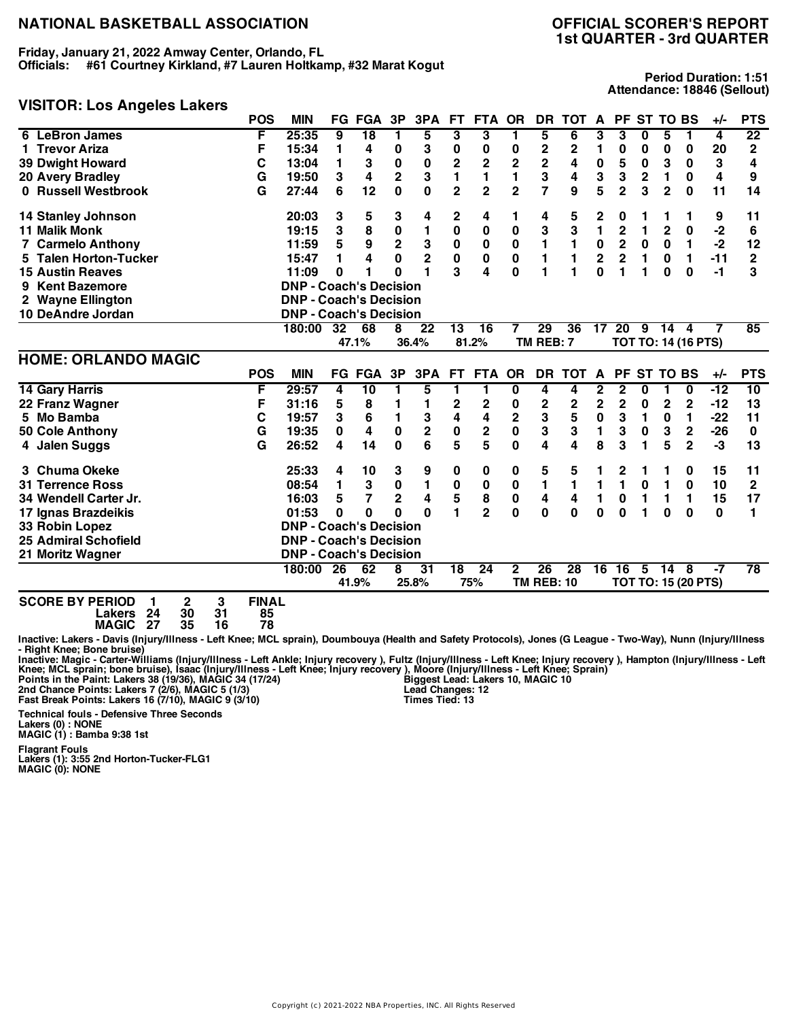**Friday, January 21, 2022 Amway Center, Orlando, FL Officials: #61 Courtney Kirkland, #7 Lauren Holtkamp, #32 Marat Kogut**

## **VISITOR: Los Angeles Lakers**

**Period Duration: 1:51 Attendance: 18846 (Sellout)**

| טוספווה בסט הווסווטו        | <b>POS</b> | <b>MIN</b>                    |     | <b>FG FGA</b>   | 3P                      | 3PA            | FT.             | <b>FTA</b>             | <b>OR</b>               | <b>DR</b>               | <b>TOT</b>      | A               | <b>PF</b>               |              | <b>ST TO BS</b> |                                                       | $+/-$ | <b>PTS</b>  |
|-----------------------------|------------|-------------------------------|-----|-----------------|-------------------------|----------------|-----------------|------------------------|-------------------------|-------------------------|-----------------|-----------------|-------------------------|--------------|-----------------|-------------------------------------------------------|-------|-------------|
| 6 LeBron James              | F          | 25:35                         | 9   | $\overline{18}$ | 1                       | 5              | 3               | 3                      | 1                       | 5                       | 6               | 3               | 3                       | 0            | 5               | 1                                                     | 4     | 22          |
| 1 Trevor Ariza              | F          | 15:34                         | 1   | 4               | 0                       | 3              | 0               | 0                      | 0                       | $\mathbf 2$             | 2               | 1               | 0                       | 0            | $\bf{0}$        | 0                                                     | 20    | $\mathbf 2$ |
| <b>39 Dwight Howard</b>     | C          | 13:04                         | 1   | 3               | 0                       | $\bf{0}$       | $\overline{2}$  | $\overline{2}$         | $\overline{2}$          | 2                       | 4               | 0               | 5                       | 0            | 3               | 0                                                     | 3     | 4           |
| 20 Avery Bradley            | G          | 19:50                         | 3   | 4               | $\overline{2}$          | 3              | 1               | 1                      |                         | 3                       | 4               | 3               | 3                       | $\mathbf{2}$ | 1               | 0                                                     | 4     | 9           |
| 0 Russell Westbrook         | G          | 27:44                         | 6   | 12              | $\bf{0}$                | 0              | $\overline{2}$  | $\overline{2}$         | $\overline{2}$          | $\overline{7}$          | 9               | 5               | $\overline{2}$          | 3            | $\mathbf 2$     | $\mathbf 0$                                           | 11    | 14          |
| 14 Stanley Johnson          |            | 20:03                         | 3   | 5               | 3                       | 4              | 2               | 4                      | 1                       | 4                       | 5               | 2               | 0                       |              | 1               |                                                       | 9     | 11          |
| <b>11 Malik Monk</b>        |            | 19:15                         | 3   | 8               | $\bf{0}$                | 1              | 0               | $\pmb{0}$              | 0                       | 3                       | 3               | 1               | $\overline{c}$          | 1            | $\mathbf 2$     | $\pmb{0}$                                             | -2    | 6           |
| <b>7 Carmelo Anthony</b>    |            | 11:59                         | 5   | 9               | $\mathbf 2$             | 3              | $\pmb{0}$       | 0                      | 0                       | 1                       | 1               | $\pmb{0}$       | $\overline{\mathbf{2}}$ | $\bf{0}$     | 0               | 1                                                     | $-2$  | 12          |
| 5 Talen Horton-Tucker       |            | 15:47                         | 1   | 4               | $\mathbf 0$             | $\overline{2}$ | $\pmb{0}$       | $\pmb{0}$              | 0                       | 1                       |                 | $\bf 2$         | $\mathbf 2$             | 1            | 0               | 1                                                     | $-11$ | $\mathbf 2$ |
| <b>15 Austin Reaves</b>     |            | 11:09                         | 0   | 1               | O                       | 1              | 3               | 4                      | 0                       | 1                       |                 | $\bf{0}$        | 1                       | 1            | 0               | $\bf{0}$                                              | $-1$  | 3           |
| 9 Kent Bazemore             |            | <b>DNP - Coach's Decision</b> |     |                 |                         |                |                 |                        |                         |                         |                 |                 |                         |              |                 |                                                       |       |             |
| 2 Wayne Ellington           |            | <b>DNP - Coach's Decision</b> |     |                 |                         |                |                 |                        |                         |                         |                 |                 |                         |              |                 |                                                       |       |             |
| 10 DeAndre Jordan           |            | <b>DNP - Coach's Decision</b> |     |                 |                         |                |                 |                        |                         |                         |                 |                 |                         |              |                 |                                                       |       |             |
|                             |            | 180:00                        | 32  | 68              | 8                       | 22             | 13              | 16                     | 7                       | 29                      | 36              | 17              | 20                      | 9            | 14              | 4                                                     | 7     | 85          |
|                             |            |                               |     | 47.1%           |                         | 36.4%          |                 | 81.2%                  |                         | TM REB: 7               |                 |                 |                         |              |                 | <b>TOT TO: 14 (16 PTS)</b>                            |       |             |
| <b>HOME: ORLANDO MAGIC</b>  |            |                               |     |                 |                         |                |                 |                        |                         |                         |                 |                 |                         |              |                 |                                                       |       |             |
|                             | <b>POS</b> | <b>MIN</b>                    | FG. | <b>FGA</b>      | 3P                      | 3PA            | FT.             | <b>FTA</b>             | <b>OR</b>               | <b>DR</b>               | <b>TOT</b>      | A               | <b>PF</b>               |              | ST TO BS        |                                                       | $+/-$ | <b>PTS</b>  |
| <b>14 Gary Harris</b>       | F          | 29:57                         | 4   | $\overline{10}$ |                         | 5              | 1               | 1                      | 0                       | 4                       | 4               | 2               | 2                       | 0            |                 | $\bf{0}$                                              | $-12$ | 10          |
| 22 Franz Wagner             | F          | 31:16                         | 5   | 8               | 1                       | 1              | 2               | 2                      | 0                       | 2                       | 2               | $\mathbf{2}$    | $\overline{2}$          | 0            | $\mathbf{2}$    | $\mathbf{2}$                                          | $-12$ | 13          |
| 5 Mo Bamba                  | C          | 19:57                         | 3   | 6               | 1                       | 3              | 4               | 4                      | $\overline{\mathbf{c}}$ | 3                       | 5               | $\pmb{0}$       | 3                       | 1            | $\bf{0}$        | 1                                                     | $-22$ | 11          |
| 50 Cole Anthony             | G          | 19:35                         | 0   | 4               | $\mathbf 0$             | $\overline{2}$ | $\bf{0}$        | $\mathbf 2$            | $\mathbf 0$             | 3                       | 3               | 1               | 3                       | 0            | 3               | $\mathbf 2$                                           | $-26$ | 0           |
| 4 Jalen Suggs               | G          | 26:52                         | 4   | 14              | $\bf{0}$                | 6              | 5               | 5                      | 0                       | 4                       | 4               | 8               | 3                       |              | 5               | $\mathbf{2}$                                          | -3    | 13          |
| 3 Chuma Okeke               |            | 25:33                         | 4   | 10              | 3                       | 9              | 0               | 0                      | 0                       | 5                       | 5               |                 | 2                       |              |                 | 0                                                     | 15    | 11          |
| <b>31 Terrence Ross</b>     |            | 08:54                         | 1   | 3               | $\bf{0}$                | 1              | 0               | 0                      | $\pmb{0}$               | 1                       | 1               | 1               | 1                       | $\bf{0}$     | 1               | $\bf{0}$                                              | 10    | $\mathbf 2$ |
| 34 Wendell Carter Jr.       |            | 16:03                         | 5   | 7               | $\overline{\mathbf{2}}$ | 4              | 5               | 8                      | $\pmb{0}$               | 4                       | 4               | 1               | 0                       | 1            | 1               | 1                                                     | 15    | 17          |
| 17 Ignas Brazdeikis         |            | 01:53                         | 0   | $\bf{0}$        | $\bf{0}$                | 0              | 1               | $\overline{2}$         | 0                       | $\bf{0}$                | $\bf{0}$        | $\bf{0}$        | 0                       |              | 0               | $\bf{0}$                                              | 0     | 1           |
| 33 Robin Lopez              |            | <b>DNP - Coach's Decision</b> |     |                 |                         |                |                 |                        |                         |                         |                 |                 |                         |              |                 |                                                       |       |             |
| <b>25 Admiral Schofield</b> |            | <b>DNP - Coach's Decision</b> |     |                 |                         |                |                 |                        |                         |                         |                 |                 |                         |              |                 |                                                       |       |             |
| 21 Moritz Wagner            |            | <b>DNP - Coach's Decision</b> |     |                 |                         |                |                 |                        |                         |                         |                 |                 |                         |              |                 |                                                       |       |             |
|                             |            | 180:00                        | 26  | 62<br>41.9%     | 8                       | 31<br>25.8%    | $\overline{18}$ | $\overline{24}$<br>75% | 2                       | 26<br><b>TM REB: 10</b> | $\overline{28}$ | $\overline{16}$ | $\overline{16}$         | 5            | $\overline{14}$ | $\overline{\mathbf{8}}$<br><b>TOT TO: 15 (20 PTS)</b> | -7    | 78          |
|                             |            |                               |     |                 |                         |                |                 |                        |                         |                         |                 |                 |                         |              |                 |                                                       |       |             |

**SCORE BY PERIOD 1 2 3 FINAL Lakers 24 30 31 85 MAGIC 27 35 16 78**

Inactive: Lakers - Davis (Injury/Illness - Left Knee; MCL sprain), Doumbouya (Health and Safety Protocols), Jones (G League - Two-Way), Nunn (Injury/Illness **- Right Knee; Bone bruise)**

Inactive: Magic - Carter-Williams (Injury/Illness - Left Ankle; Injury recovery ), Fultz (Injury/Illness - Left Knee; Injury recovery ), Hampton (Injury/Illness - Left<br>Knee; MCL sprain; bone bruise), Isaac (Injury/Illness

**Biggest Lead: Lakers 10, MAGIC 10 Lead Changes: 12 Times Tied: 13**

**Technical fouls - Defensive Three Seconds Lakers (0) : NONE MAGIC (1) : Bamba 9:38 1st**

**Flagrant Fouls Lakers (1): 3:55 2nd Horton-Tucker-FLG1 MAGIC (0): NONE**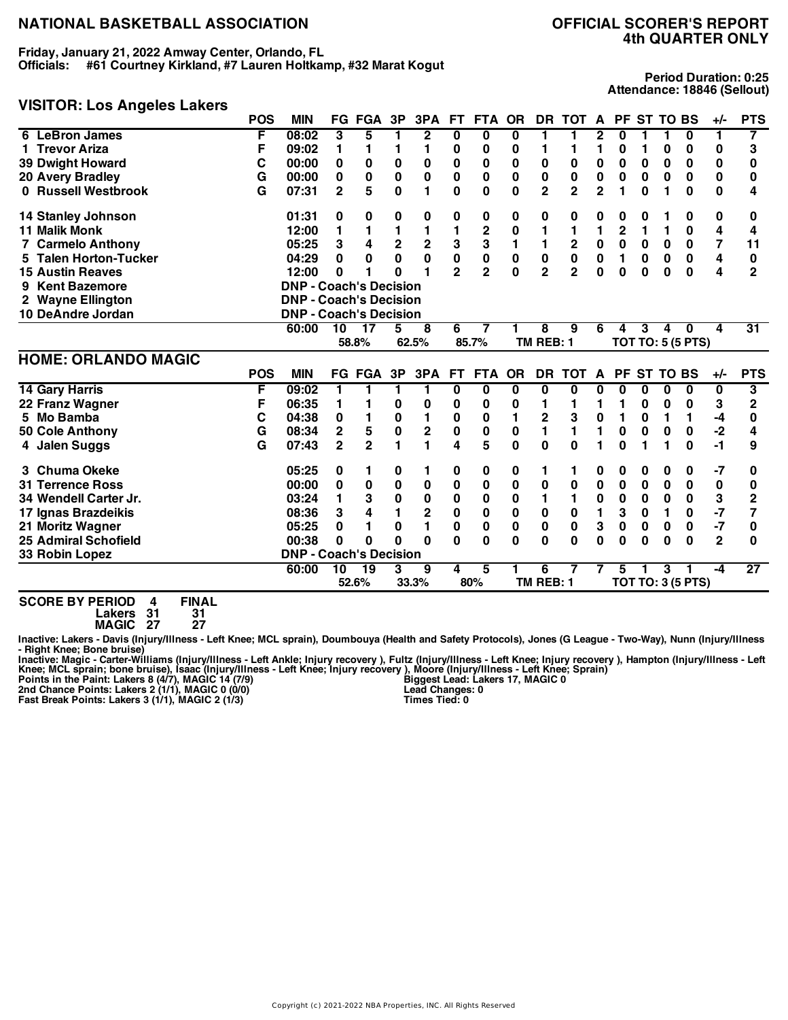**Friday, January 21, 2022 Amway Center, Orlando, FL Officials: #61 Courtney Kirkland, #7 Lauren Holtkamp, #32 Marat Kogut**

## **VISITOR: Los Angeles Lakers**

**Period Duration: 0:25 Attendance: 18846 (Sellout)**

|                             | <b>POS</b> | <b>MIN</b>                    |                | <b>FG FGA</b>   | 3P           | 3PA         | <b>FT</b>      | <b>FTA</b>              | <b>OR</b> | DR.            | <b>TOT</b>              | A              |             | PF ST TO BS |              |                          | $+/-$                   | <b>PTS</b>      |
|-----------------------------|------------|-------------------------------|----------------|-----------------|--------------|-------------|----------------|-------------------------|-----------|----------------|-------------------------|----------------|-------------|-------------|--------------|--------------------------|-------------------------|-----------------|
| <b>LeBron James</b><br>6    | F          | 08:02                         | 3              | 5               |              | 2           | 0              | 0                       | 0         | 1              |                         | 2              | 0           |             |              | 0                        | 1                       | 7               |
| <b>Trevor Ariza</b>         | F          | 09:02                         | 1              | 1               | 1            | 1           | 0              | 0                       | 0         | 1              |                         | 1              | 0           | 1           | 0            | 0                        | 0                       | 3               |
| <b>39 Dwight Howard</b>     | C          | 00:00                         | 0              | 0               | 0            | 0           | 0              | 0                       | 0         | 0              | 0                       | 0              | 0           | 0           | 0            | 0                        | 0                       | 0               |
| <b>20 Avery Bradley</b>     | G          | 00:00                         | 0              | 0               | $\pmb{0}$    | 0           | 0              | 0                       | 0         | 0              | $\pmb{0}$               | $\pmb{0}$      | 0           | 0           | 0            | 0                        | $\pmb{0}$               | 0               |
| 0 Russell Westbrook         | G          | 07:31                         | $\overline{2}$ | 5               | 0            | 1           | 0              | 0                       | 0         | $\overline{2}$ | $\overline{\mathbf{2}}$ | $\overline{2}$ | 1           | $\bf{0}$    | 1            | 0                        | 0                       | 4               |
| <b>14 Stanley Johnson</b>   |            | 01:31                         | 0              | 0               | 0            | 0           | 0              | 0                       | 0         | 0              | 0                       | 0              | 0           | 0           |              | 0                        | 0                       | 0               |
| <b>11 Malik Monk</b>        |            | 12:00                         | 1              |                 | 1            | 1           | 1              | $\overline{\mathbf{c}}$ | 0         |                |                         | 1              | 2           | 1           | 1            | 0                        | 4                       | 4               |
| 7 Carmelo Anthony           |            | 05:25                         | 3              | 4               | $\mathbf 2$  | $\bf 2$     | 3              | 3                       | 1         | 1              | 2                       | $\pmb{0}$      | $\mathbf 0$ | 0           | 0            | 0                        | 7                       | 11              |
| 5 Talen Horton-Tucker       |            | 04:29                         | 0              | 0               | $\mathbf 0$  | $\mathbf 0$ | 0              | $\mathbf 0$             | $\bf{0}$  | $\mathbf 0$    | $\bf{0}$                | $\mathbf 0$    | 1           | $\bf{0}$    | $\mathbf 0$  | $\mathbf 0$              | 4                       | 0               |
| <b>15 Austin Reaves</b>     |            | 12:00                         | 0              | 1               | O            | 1           | $\overline{2}$ | $\overline{2}$          | $\bf{0}$  | $\overline{2}$ | $\overline{2}$          | $\bf{0}$       | 0           | $\bf{0}$    | $\bf{0}$     | $\bf{0}$                 | $\overline{\mathbf{4}}$ | $\overline{2}$  |
| <b>Kent Bazemore</b><br>9   |            | <b>DNP - Coach's Decision</b> |                |                 |              |             |                |                         |           |                |                         |                |             |             |              |                          |                         |                 |
| 2 Wayne Ellington           |            | <b>DNP - Coach's Decision</b> |                |                 |              |             |                |                         |           |                |                         |                |             |             |              |                          |                         |                 |
| 10 DeAndre Jordan           |            | <b>DNP - Coach's Decision</b> |                |                 |              |             |                |                         |           |                |                         |                |             |             |              |                          |                         |                 |
|                             |            | 60:00                         | 10             | $\overline{17}$ | 5            | 8           | 6              | 7                       |           | 8              | 9                       | 6              | 4           | 3           | 4            | 0                        | 4                       | 31              |
|                             |            |                               |                | 58.8%           |              | 62.5%       |                | 85.7%                   |           | TM REB: 1      |                         |                |             |             |              | <b>TOT TO: 5 (5 PTS)</b> |                         |                 |
| <b>HOME: ORLANDO MAGIC</b>  |            |                               |                |                 |              |             |                |                         |           |                |                         |                |             |             |              |                          |                         |                 |
|                             | <b>POS</b> | <b>MIN</b>                    |                | <b>FG FGA</b>   | 3P           | 3PA         | FT.            | <b>FTA</b>              | <b>OR</b> | DR.            | <b>TOT</b>              | $\mathbf{A}$   | <b>PF</b>   | <b>ST</b>   | <b>TO BS</b> |                          | $+/-$                   | <b>PTS</b>      |
| <b>14 Gary Harris</b>       | F          | 09:02                         |                |                 | 1            | 1           | 0              | $\bf{0}$                | 0         | 0              | $\bf{0}$                | U              | 0           | 0           | 0            | 0                        | 0                       | 3               |
| 22 Franz Wagner             | F          | 06:35                         | 1              | 1               | 0            | 0           | 0              | 0                       | 0         | 1              |                         |                | 1           | 0           | 0            | 0                        | 3                       | $\overline{2}$  |
| 5 Mo Bamba                  | С          | 04:38                         | 0              |                 | $\bf{0}$     | 1           | 0              | 0                       | 1         | 2              | 3                       | 0              | 1           | 0           | 1            | 1                        | -4                      | 0               |
| 50 Cole Anthony             | G          | 08:34                         | $\mathbf 2$    | 5               | $\pmb{0}$    | $\mathbf 2$ | 0              | 0                       | 0         | 1              | 1                       | 1              | 0           | $\bf{0}$    | $\bf{0}$     | 0                        | $-2$                    | 4               |
| 4 Jalen Suggs               | G          | 07:43                         | $\overline{2}$ | $\mathbf{2}$    | 1            | 1           | 4              | 5                       | 0         | $\bf{0}$       | $\bf{0}$                |                | 0           |             |              | 0                        | -1                      | 9               |
| 3 Chuma Okeke               |            | 05:25                         | 0              | 1               | 0            | 1           | 0              | 0                       | 0         | 1              | 1                       | 0              | 0           | 0           | 0            | 0                        | $-7$                    | 0               |
| <b>31 Terrence Ross</b>     |            | 00:00                         | 0              | $\mathbf 0$     | $\pmb{0}$    | $\bf{0}$    | 0              | $\bf{0}$                | 0         | 0              | $\bf{0}$                | $\mathbf 0$    | 0           | 0           | $\bf{0}$     | 0                        | 0                       | 0               |
| 34 Wendell Carter Jr.       |            | 03:24                         | 1              | 3               | 0            | 0           | 0              | 0                       | 0         | 1              | 1                       | 0              | 0           | 0           | 0            | 0                        | 3                       | $\overline{2}$  |
| 17 Ignas Brazdeikis         |            | 08:36                         | 3              | 4               | 1            | $\mathbf 2$ | 0              | $\mathbf 0$             | $\bf{0}$  | $\pmb{0}$      | 0                       | 1              | 3           | 0           | 1            | 0                        | $-7$                    | 7               |
| 21 Moritz Wagner            |            | 05:25                         | 0              | 1               | $\mathbf{0}$ | 1           | 0              | $\mathbf 0$             | 0         | $\mathbf 0$    | $\bf{0}$                | 3              | 0           | 0           | $\bf{0}$     | 0                        | $-7$                    | 0               |
| <b>25 Admiral Schofield</b> |            | 00:38                         | 0              | 0               | O            | $\bf{0}$    | $\bf{0}$       | $\bf{0}$                | $\bf{0}$  | 0              | $\bf{0}$                | 0              | 0           | $\bf{0}$    | $\bf{0}$     | $\bf{0}$                 | $\mathbf{2}$            | 0               |
| 33 Robin Lopez              |            | <b>DNP - Coach's Decision</b> |                |                 |              |             |                |                         |           |                |                         |                |             |             |              |                          |                         |                 |
|                             |            | 60:00                         | 10             | 19              | 3            | 9           | 4              | 5                       |           | 6              |                         |                | 5           |             | 3            |                          | -4                      | $\overline{27}$ |
|                             |            |                               |                | 52.6%           |              | 33.3%       |                | 80%                     |           | TM REB: 1      |                         |                |             |             |              | <b>TOT TO: 3 (5 PTS)</b> |                         |                 |

**SCORE BY PERIOD 4 FINAL**

**Lakers 31 31 MAGIC 27 27**

Inactive: Lakers - Davis (Injury/Illness - Left Knee; MCL sprain), Doumbouya (Health and Safety Protocols), Jones (G League - Two-Way), Nunn (Injury/Illness **- Right Knee; Bone bruise)**

Inactive: Magic - Carter-Williams (Injury/Illness - Left Ankle; Injury recovery ), Fultz (Injury/Illness - Left Knee; Injury recovery ), Hampton (Injury/Illness - Left Knee; MCL sprain; bone bruise), Isaac (Injury/Illness

**Biggest Lead: Lakers 17, MAGIC 0 Lead Changes: 0 Times Tied: 0**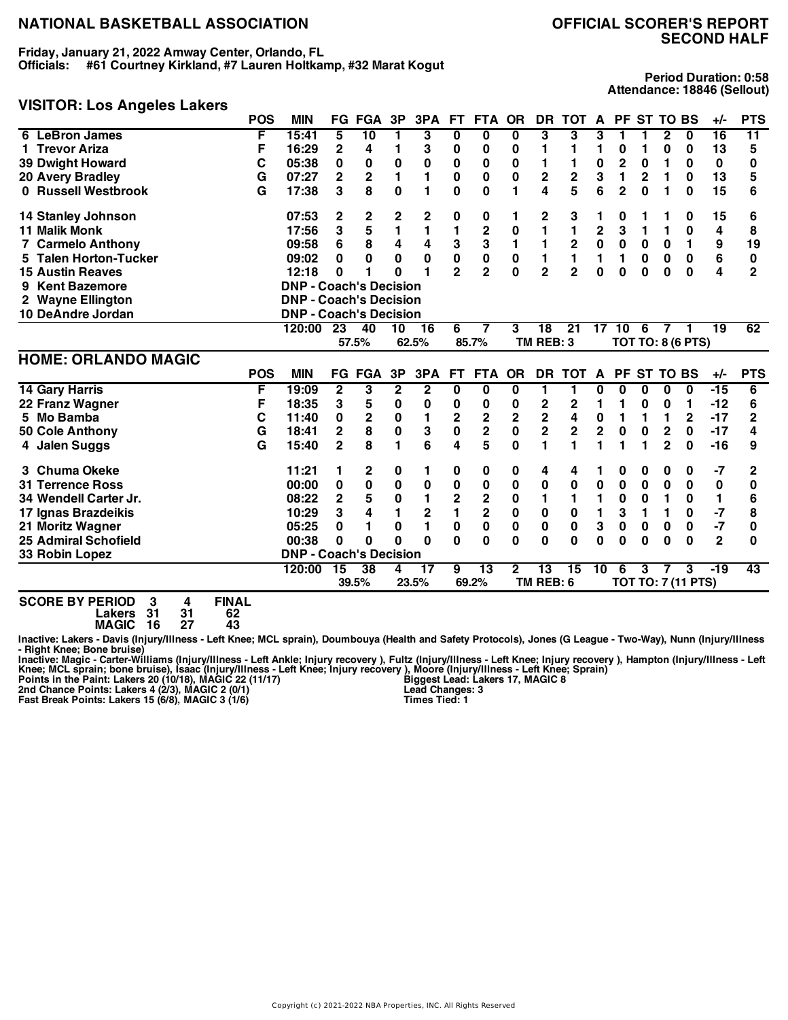**Friday, January 21, 2022 Amway Center, Orlando, FL Officials: #61 Courtney Kirkland, #7 Lauren Holtkamp, #32 Marat Kogut**

# **SECOND HALF**

**Period Duration: 0:58 Attendance: 18846 (Sellout)**

#### **VISITOR: Los Angeles Lakers**

|                             | <b>POS</b> | <b>MIN</b>                    |                | <b>FG FGA</b>   | 3P        | 3PA          | FT.            | FTA OR                  |              | DR                      | <b>TOT</b>     | A                       | <b>PF</b>      |          | <b>ST TO BS</b>         |                           | $+/-$           | <b>PTS</b>      |
|-----------------------------|------------|-------------------------------|----------------|-----------------|-----------|--------------|----------------|-------------------------|--------------|-------------------------|----------------|-------------------------|----------------|----------|-------------------------|---------------------------|-----------------|-----------------|
| 6 LeBron James              | F          | 15:41                         | 5              | $\overline{10}$ | 1         | 3            | 0              | 0                       | 0            | 3                       | 3              | 3                       | 1              | 1        | $\mathbf{2}$            | 0                         | 16              | $\overline{11}$ |
| 1 Trevor Ariza              | F          | 16:29                         | 2              | 4               | 1         | 3            | 0              | 0                       | 0            | 1                       | 1              | 1                       | 0              |          | 0                       | 0                         | 13              | 5               |
| <b>39 Dwight Howard</b>     | C          | 05:38                         | 0              | 0               | 0         | 0            | 0              | 0                       | 0            | 1                       |                | 0                       | 2              | 0        | 1                       | 0                         | 0               | 0               |
| <b>20 Avery Bradley</b>     | G          | 07:27                         | $\overline{2}$ | $\mathbf{2}$    | 1         | 1            | 0              | 0                       | 0            | $\mathbf 2$             | $\mathbf 2$    | 3                       | 1              | 2        | 1                       | 0                         | 13              | 5               |
| 0 Russell Westbrook         | G          | 17:38                         | $\mathbf 3$    | 8               | 0         | 1            | 0              | 0                       | 1            | 4                       | 5              | 6                       | $\overline{2}$ | 0        | 1                       | 0                         | 15              | 6               |
| 14 Stanley Johnson          |            | 07:53                         | 2              | 2               | 2         | 2            | 0              | 0                       | 1            | 2                       | 3              |                         | 0              |          |                         | 0                         | 15              | 6               |
| <b>11 Malik Monk</b>        |            | 17:56                         | 3              | 5               | 1         | 1            | 1              | $\overline{2}$          | 0            | 1                       | 1              | $\overline{\mathbf{c}}$ | 3              | 1        | 1                       | 0                         | 4               | 8               |
| <b>7 Carmelo Anthony</b>    |            | 09:58                         | 6              | 8               | 4         | 4            | 3              | 3                       |              | 1                       | 2              | $\mathbf 0$             | $\mathbf 0$    | 0        | 0                       | 1                         | 9               | 19              |
| 5 Talen Horton-Tucker       |            | 09:02                         | 0              | 0               | 0         | 0            | 0              | 0                       | 0            | 1                       | 1              | 1                       | 1              | 0        | 0                       | 0                         | 6               | 0               |
| <b>15 Austin Reaves</b>     |            | 12:18                         | 0              | 1               | 0         | 1            | $\overline{2}$ | $\overline{2}$          | $\bf{0}$     | $\overline{2}$          | $\overline{2}$ | 0                       | 0              | $\bf{0}$ | 0                       | 0                         | 4               | $\overline{2}$  |
| <b>Kent Bazemore</b><br>9   |            | <b>DNP - Coach's Decision</b> |                |                 |           |              |                |                         |              |                         |                |                         |                |          |                         |                           |                 |                 |
| 2 Wayne Ellington           |            | <b>DNP - Coach's Decision</b> |                |                 |           |              |                |                         |              |                         |                |                         |                |          |                         |                           |                 |                 |
| 10 DeAndre Jordan           |            | <b>DNP - Coach's Decision</b> |                |                 |           |              |                |                         |              |                         |                |                         |                |          |                         |                           |                 |                 |
|                             |            | 120:00                        | 23             | 40              | 10        | 16           | 6              | $\overline{7}$          | 3            | 18                      | 21             | 17                      | 10             | 6        | $\overline{7}$          | 1                         | $\overline{19}$ | 62              |
|                             |            |                               |                | 57.5%           |           | 62.5%        |                | 85.7%                   |              | TM REB: 3               |                |                         |                |          |                         | <b>TOT TO: 8 (6 PTS)</b>  |                 |                 |
| <b>HOME: ORLANDO MAGIC</b>  |            |                               |                |                 |           |              |                |                         |              |                         |                |                         |                |          |                         |                           |                 |                 |
|                             | <b>POS</b> | <b>MIN</b>                    |                | <b>FG FGA</b>   | 3P        | 3PA          | <b>FT</b>      | <b>FTA</b>              | <b>OR</b>    | <b>DR</b>               | <b>TOT</b>     | A                       | <b>PF</b>      |          | <b>ST TO BS</b>         |                           | $+/-$           | <b>PTS</b>      |
| <b>14 Gary Harris</b>       | F          | 19:09                         | $\mathbf{2}$   | 3               | 2         | $\mathbf{2}$ | 0              | 0                       | 0            | 1                       | 1              | O                       | 0              | 0        | 0                       | 0                         | -15             | 6               |
| 22 Franz Wagner             | F          | 18:35                         | 3              | 5               | 0         | 0            | 0              | 0                       | 0            | 2                       | $\mathbf 2$    | 1                       | 1              | 0        | 0                       | 1                         | $-12$           | 6               |
| 5 Mo Bamba                  | С          | 11:40                         | 0              | $\mathbf 2$     | $\pmb{0}$ | 1            | 2              | 2                       | 2            | $\mathbf 2$             | 4              | $\mathbf 0$             | 1              | 1        | 1                       | $\mathbf{2}$              | $-17$           | $\overline{2}$  |
| 50 Cole Anthony             | G          | 18:41                         | $\mathbf{2}$   | 8               | $\pmb{0}$ | 3            | 0              | 2                       | 0            | $\overline{\mathbf{c}}$ | $\mathbf 2$    | $\overline{\mathbf{c}}$ | 0              | 0        | $\overline{\mathbf{c}}$ | 0                         | $-17$           | 4               |
| 4 Jalen Suggs               | G          | 15:40                         | $\overline{2}$ | 8               | 1         | 6            | 4              | 5                       | 0            | 1                       |                |                         | 1              |          | $\overline{2}$          | 0                         | $-16$           | 9               |
| 3 Chuma Okeke               |            | 11:21                         | 1              | 2               | 0         | 1            | 0              | $\bf{0}$                | 0            | 4                       | 4              |                         | 0              | 0        | 0                       | 0                         | $-7$            | 2               |
| <b>31 Terrence Ross</b>     |            | 00:00                         | 0              | 0               | $\pmb{0}$ | 0            | 0              | 0                       | 0            | 0                       | 0              | $\pmb{0}$               | 0              | 0        | 0                       | 0                         | 0               | 0               |
| 34 Wendell Carter Jr.       |            | 08:22                         | $\overline{2}$ | 5               | 0         | 1            | 2              | $\mathbf 2$             | 0            | 1                       |                | 1                       | 0              | 0        | 1                       | 0                         | 1               | 6               |
| 17 Ignas Brazdeikis         |            | 10:29                         | 3              | 4               | 1         | 2            | 1              | $\overline{\mathbf{c}}$ | 0            | 0                       | 0              | 1                       | 3              | 1        | 1                       | 0                         | $-7$            | 8               |
| 21 Moritz Wagner            |            | 05:25                         | 0              | 1               | 0         | 1            | 0              | 0                       | 0            | 0                       | $\mathbf 0$    | 3                       | 0              | 0        | 0                       | 0                         | $-7$            | 0               |
| <b>25 Admiral Schofield</b> |            | 00:38                         | 0              | 0               | O         | $\bf{0}$     | 0              | 0                       | 0            | 0                       | $\Omega$       | O                       | 0              | O        | $\bf{0}$                | $\Omega$                  | $\mathbf{2}$    | O               |
| 33 Robin Lopez              |            | <b>DNP - Coach's Decision</b> |                |                 |           |              |                |                         |              |                         |                |                         |                |          |                         |                           |                 |                 |
|                             |            | 120:00                        | 15             | 38              | 4         | 17           | 9              | $\overline{13}$         | $\mathbf{2}$ | 13                      | 15             | 10                      | 6              | 3        |                         | 3                         | $-19$           | 43              |
|                             |            |                               |                | 39.5%           |           | 23.5%        |                | 69.2%                   |              | TM REB: 6               |                |                         |                |          |                         | <b>TOT TO: 7 (11 PTS)</b> |                 |                 |

**SCORE BY PERIOD 3 4 FINAL Lakers 31 31 62**

**MAGIC 16 27 43**

Inactive: Lakers - Davis (Injury/Illness - Left Knee; MCL sprain), Doumbouya (Health and Safety Protocols), Jones (G League - Two-Way), Nunn (Injury/Illness **- Right Knee; Bone bruise)**

Inactive: Magic - Carter-Williams (Injury/Illness - Left Ankle; Injury recovery ), Fultz (Injury/Illness - Left Knee; Injury recovery ), Hampton (Injury/Illness - Left<br>Knee; MCL sprain; bone bruise), Isaac (Injury/Illness

**Biggest Lead: Lakers 17, MAGIC 8 Lead Changes: 3 Times Tied: 1**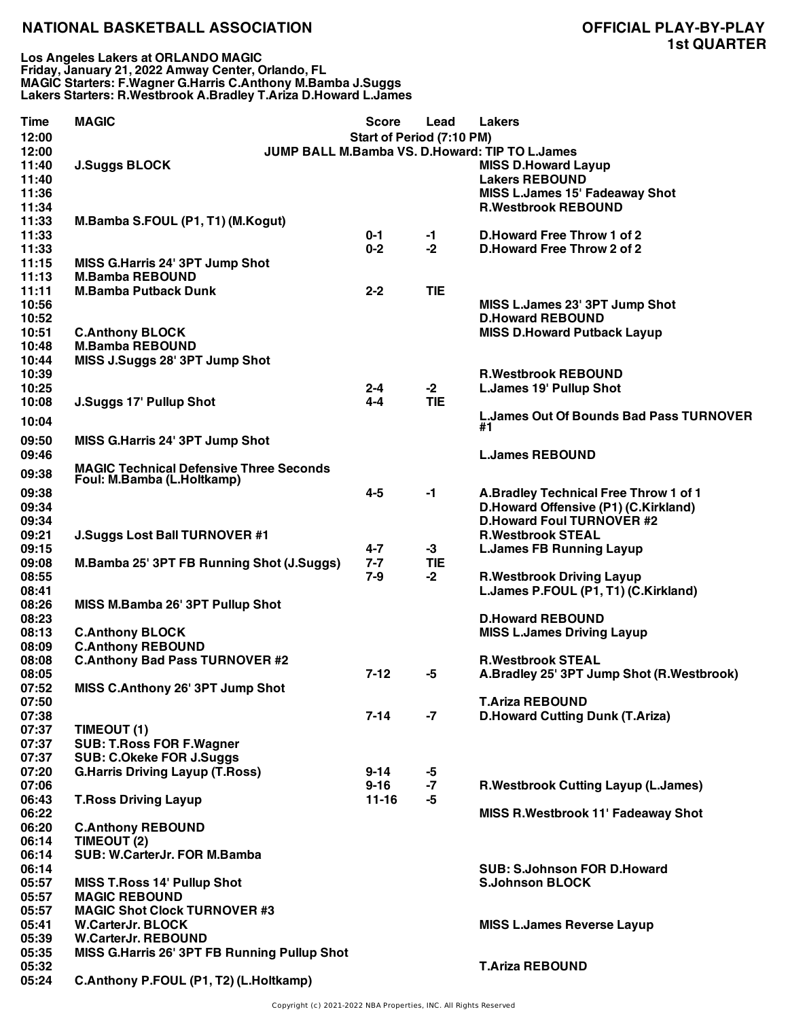**Los Angeles Lakers at ORLANDO MAGIC Friday, January 21, 2022 Amway Center, Orlando, FL MAGIC Starters: F.Wagner G.Harris C.Anthony M.Bamba J.Suggs Lakers Starters: R.Westbrook A.Bradley T.Ariza D.Howard L.James**

| <b>Time</b> | <b>MAGIC</b>                                   | <b>Score</b>              | Lead       | <b>Lakers</b>                                  |
|-------------|------------------------------------------------|---------------------------|------------|------------------------------------------------|
| 12:00       |                                                | Start of Period (7:10 PM) |            |                                                |
| 12:00       |                                                |                           |            | JUMP BALL M.Bamba VS. D.Howard: TIP TO L.James |
| 11:40       | <b>J.Suggs BLOCK</b>                           |                           |            | <b>MISS D.Howard Layup</b>                     |
| 11:40       |                                                |                           |            | <b>Lakers REBOUND</b>                          |
| 11:36       |                                                |                           |            | <b>MISS L.James 15' Fadeaway Shot</b>          |
| 11:34       |                                                |                           |            | <b>R.Westbrook REBOUND</b>                     |
| 11:33       | M.Bamba S.FOUL (P1, T1) (M.Kogut)              |                           |            |                                                |
| 11:33       |                                                | $0 - 1$                   | $-1$       | D. Howard Free Throw 1 of 2                    |
| 11:33       |                                                | $0 - 2$                   | $-2$       | D. Howard Free Throw 2 of 2                    |
| 11:15       | MISS G.Harris 24' 3PT Jump Shot                |                           |            |                                                |
| 11:13       | <b>M.Bamba REBOUND</b>                         |                           |            |                                                |
| 11:11       | <b>M.Bamba Putback Dunk</b>                    | $2 - 2$                   | <b>TIE</b> |                                                |
| 10:56       |                                                |                           |            | MISS L.James 23' 3PT Jump Shot                 |
| 10:52       |                                                |                           |            | <b>D.Howard REBOUND</b>                        |
| 10:51       | <b>C.Anthony BLOCK</b>                         |                           |            | <b>MISS D.Howard Putback Layup</b>             |
| 10:48       | <b>M.Bamba REBOUND</b>                         |                           |            |                                                |
| 10:44       | MISS J.Suggs 28' 3PT Jump Shot                 |                           |            |                                                |
| 10:39       |                                                |                           |            | <b>R.Westbrook REBOUND</b>                     |
| 10:25       |                                                | $2 - 4$                   | $-2$       | <b>L.James 19' Pullup Shot</b>                 |
| 10:08       | <b>J.Suggs 17' Pullup Shot</b>                 | $4 - 4$                   | <b>TIE</b> |                                                |
|             |                                                |                           |            | <b>L.James Out Of Bounds Bad Pass TURNOVER</b> |
| 10:04       |                                                |                           |            | #1                                             |
| 09:50       | MISS G.Harris 24' 3PT Jump Shot                |                           |            |                                                |
| 09:46       |                                                |                           |            | <b>L.James REBOUND</b>                         |
| 09:38       | <b>MAGIC Technical Defensive Three Seconds</b> |                           |            |                                                |
|             | Foul: M.Bamba (L.Holtkamp)                     |                           |            |                                                |
| 09:38       |                                                | $4 - 5$                   | $-1$       | A.Bradley Technical Free Throw 1 of 1          |
| 09:34       |                                                |                           |            | D.Howard Offensive (P1) (C.Kirkland)           |
| 09:34       |                                                |                           |            | <b>D.Howard Foul TURNOVER #2</b>               |
| 09:21       | <b>J.Suggs Lost Ball TURNOVER #1</b>           |                           |            | <b>R.Westbrook STEAL</b>                       |
| 09:15       |                                                | $4 - 7$                   | $-3$       | <b>L.James FB Running Layup</b>                |
| 09:08       | M.Bamba 25' 3PT FB Running Shot (J.Suggs)      | $7 - 7$                   | <b>TIE</b> |                                                |
| 08:55       |                                                | 7-9                       | $-2$       | <b>R.Westbrook Driving Layup</b>               |
| 08:41       |                                                |                           |            | L.James P.FOUL (P1, T1) (C.Kirkland)           |
| 08:26       | MISS M.Bamba 26' 3PT Pullup Shot               |                           |            |                                                |
| 08:23       |                                                |                           |            | <b>D.Howard REBOUND</b>                        |
| 08:13       | <b>C.Anthony BLOCK</b>                         |                           |            | <b>MISS L.James Driving Layup</b>              |
| 08:09       | <b>C.Anthony REBOUND</b>                       |                           |            |                                                |
| 08:08       | <b>C.Anthony Bad Pass TURNOVER #2</b>          |                           |            | <b>R.Westbrook STEAL</b>                       |
| 08:05       |                                                | $7-12$                    | -5         | A.Bradley 25' 3PT Jump Shot (R.Westbrook)      |
| 07:52       | MISS C.Anthony 26' 3PT Jump Shot               |                           |            |                                                |
| 07:50       |                                                |                           |            | <b>T.Ariza REBOUND</b>                         |
| 07:38       |                                                | $7 - 14$                  | -7         | <b>D.Howard Cutting Dunk (T.Ariza)</b>         |
| 07:37       | TIMEOUT (1)                                    |                           |            |                                                |
| 07:37       | <b>SUB: T.Ross FOR F.Wagner</b>                |                           |            |                                                |
| 07:37       | <b>SUB: C.Okeke FOR J.Suggs</b>                |                           |            |                                                |
| 07:20       | <b>G.Harris Driving Layup (T.Ross)</b>         | $9 - 14$                  | -5         |                                                |
| 07:06       |                                                | $9 - 16$                  | $-7$       | <b>R.Westbrook Cutting Layup (L.James)</b>     |
| 06:43       | <b>T.Ross Driving Layup</b>                    | $11 - 16$                 | -5         |                                                |
| 06:22       |                                                |                           |            | <b>MISS R. Westbrook 11' Fadeaway Shot</b>     |
| 06:20       | <b>C.Anthony REBOUND</b>                       |                           |            |                                                |
| 06:14       | TIMEOUT (2)                                    |                           |            |                                                |
| 06:14       | SUB: W.CarterJr. FOR M.Bamba                   |                           |            |                                                |
| 06:14       |                                                |                           |            | <b>SUB: S.Johnson FOR D.Howard</b>             |
| 05:57       | <b>MISS T.Ross 14' Pullup Shot</b>             |                           |            | <b>S.Johnson BLOCK</b>                         |
| 05:57       | <b>MAGIC REBOUND</b>                           |                           |            |                                                |
| 05:57       | <b>MAGIC Shot Clock TURNOVER #3</b>            |                           |            |                                                |
| 05:41       | <b>W.CarterJr. BLOCK</b>                       |                           |            | <b>MISS L.James Reverse Layup</b>              |
| 05:39       | <b>W.CarterJr. REBOUND</b>                     |                           |            |                                                |
| 05:35       | MISS G.Harris 26' 3PT FB Running Pullup Shot   |                           |            |                                                |
| 05:32       |                                                |                           |            | <b>T.Ariza REBOUND</b>                         |
| 05:24       | C.Anthony P.FOUL (P1, T2) (L.Holtkamp)         |                           |            |                                                |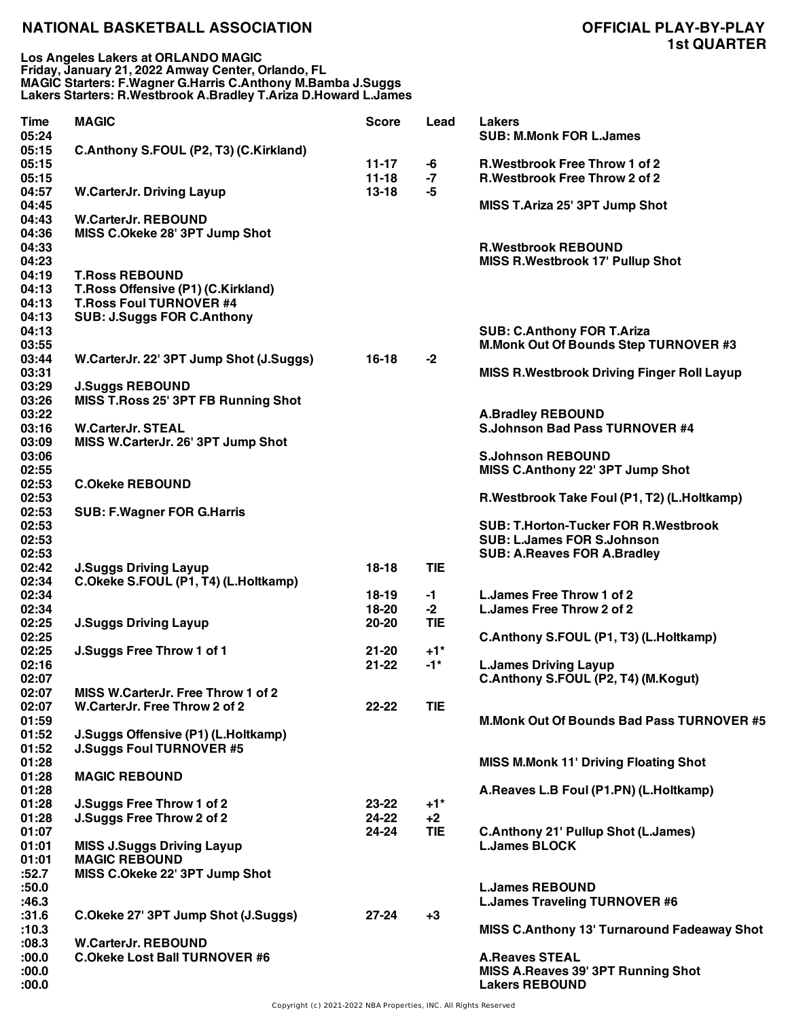**Los Angeles Lakers at ORLANDO MAGIC Friday, January 21, 2022 Amway Center, Orlando, FL MAGIC Starters: F.Wagner G.Harris C.Anthony M.Bamba J.Suggs Lakers Starters: R.Westbrook A.Bradley T.Ariza D.Howard L.James**

| <b>Time</b><br>05:24    | <b>MAGIC</b>                            | <b>Score</b>         | Lead              | <b>Lakers</b><br><b>SUB: M.Monk FOR L.James</b>                        |
|-------------------------|-----------------------------------------|----------------------|-------------------|------------------------------------------------------------------------|
| 05:15<br>05:15<br>05:15 | C.Anthony S.FOUL (P2, T3) (C.Kirkland)  | $11-17$<br>$11 - 18$ | -6<br>$-7$        | <b>R.Westbrook Free Throw 1 of 2</b><br>R. Westbrook Free Throw 2 of 2 |
| 04:57<br>04:45          | <b>W.CarterJr. Driving Layup</b>        | $13 - 18$            | -5                | MISS T.Ariza 25' 3PT Jump Shot                                         |
| 04:43                   | <b>W.CarterJr. REBOUND</b>              |                      |                   |                                                                        |
| 04:36<br>04:33<br>04:23 | MISS C.Okeke 28' 3PT Jump Shot          |                      |                   | <b>R.Westbrook REBOUND</b><br><b>MISS R.Westbrook 17' Pullup Shot</b>  |
| 04:19                   | <b>T.Ross REBOUND</b>                   |                      |                   |                                                                        |
| 04:13                   | T.Ross Offensive (P1) (C.Kirkland)      |                      |                   |                                                                        |
| 04:13                   | <b>T.Ross Foul TURNOVER #4</b>          |                      |                   |                                                                        |
| 04:13                   | <b>SUB: J.Suggs FOR C.Anthony</b>       |                      |                   |                                                                        |
| 04:13                   |                                         |                      |                   | <b>SUB: C.Anthony FOR T.Ariza</b>                                      |
| 03:55                   |                                         |                      |                   | M.Monk Out Of Bounds Step TURNOVER #3                                  |
| 03:44                   | W.CarterJr. 22' 3PT Jump Shot (J.Suggs) | $16 - 18$            | $-2$              |                                                                        |
| 03:31                   |                                         |                      |                   | <b>MISS R. Westbrook Driving Finger Roll Layup</b>                     |
| 03:29                   | <b>J.Suggs REBOUND</b>                  |                      |                   |                                                                        |
| 03:26<br>03:22          | MISS T.Ross 25' 3PT FB Running Shot     |                      |                   |                                                                        |
| 03:16                   | <b>W.CarterJr. STEAL</b>                |                      |                   | <b>A.Bradley REBOUND</b><br><b>S.Johnson Bad Pass TURNOVER #4</b>      |
| 03:09                   | MISS W.CarterJr. 26' 3PT Jump Shot      |                      |                   |                                                                        |
| 03:06                   |                                         |                      |                   | <b>S.Johnson REBOUND</b>                                               |
| 02:55                   |                                         |                      |                   | MISS C.Anthony 22' 3PT Jump Shot                                       |
| 02:53                   | <b>C.Okeke REBOUND</b>                  |                      |                   |                                                                        |
| 02:53                   |                                         |                      |                   | R.Westbrook Take Foul (P1, T2) (L.Holtkamp)                            |
| 02:53                   | <b>SUB: F.Wagner FOR G.Harris</b>       |                      |                   |                                                                        |
| 02:53                   |                                         |                      |                   | <b>SUB: T.Horton-Tucker FOR R.Westbrook</b>                            |
| 02:53                   |                                         |                      |                   | <b>SUB: L.James FOR S.Johnson</b>                                      |
| 02:53                   |                                         |                      |                   | <b>SUB: A.Reaves FOR A.Bradley</b>                                     |
| 02:42                   | <b>J.Suggs Driving Layup</b>            | $18 - 18$            | <b>TIE</b>        |                                                                        |
| 02:34                   | C.Okeke S.FOUL (P1, T4) (L.Holtkamp)    |                      |                   |                                                                        |
| 02:34<br>02:34          |                                         | $18-19$<br>18-20     | $-1$<br>$-2$      | L. James Free Throw 1 of 2<br>L.James Free Throw 2 of 2                |
| 02:25                   | <b>J.Suggs Driving Layup</b>            | $20 - 20$            | <b>TIE</b>        |                                                                        |
| 02:25                   |                                         |                      |                   | C.Anthony S.FOUL (P1, T3) (L.Holtkamp)                                 |
| 02:25                   | J.Suggs Free Throw 1 of 1               | $21 - 20$            | $+1$ <sup>*</sup> |                                                                        |
| 02:16                   |                                         | $21 - 22$            | $-1$ *            | <b>L.James Driving Layup</b>                                           |
| 02:07                   |                                         |                      |                   | C.Anthony S.FOUL (P2, T4) (M.Kogut)                                    |
| 02:07                   | MISS W.CarterJr. Free Throw 1 of 2      |                      |                   |                                                                        |
| 02:07                   | W.CarterJr. Free Throw 2 of 2           | $22 - 22$            | <b>TIE</b>        |                                                                        |
| 01:59                   |                                         |                      |                   | <b>M.Monk Out Of Bounds Bad Pass TURNOVER #5</b>                       |
| 01:52                   | J.Suggs Offensive (P1) (L.Holtkamp)     |                      |                   |                                                                        |
| 01:52                   | <b>J.Suggs Foul TURNOVER #5</b>         |                      |                   |                                                                        |
| 01:28                   |                                         |                      |                   | <b>MISS M.Monk 11' Driving Floating Shot</b>                           |
| 01:28                   | <b>MAGIC REBOUND</b>                    |                      |                   |                                                                        |
| 01:28<br>01:28          | J.Suggs Free Throw 1 of 2               | 23-22                | $+1*$             | A.Reaves L.B Foul (P1.PN) (L.Holtkamp)                                 |
| 01:28                   | J.Suggs Free Throw 2 of 2               | 24-22                | $+2$              |                                                                        |
| 01:07                   |                                         | 24-24                | <b>TIE</b>        | <b>C.Anthony 21' Pullup Shot (L.James)</b>                             |
| 01:01                   | <b>MISS J.Suggs Driving Layup</b>       |                      |                   | <b>L.James BLOCK</b>                                                   |
| 01:01                   | <b>MAGIC REBOUND</b>                    |                      |                   |                                                                        |
| :52.7                   | MISS C.Okeke 22' 3PT Jump Shot          |                      |                   |                                                                        |
| :50.0                   |                                         |                      |                   | <b>L.James REBOUND</b>                                                 |
| :46.3                   |                                         |                      |                   | <b>L.James Traveling TURNOVER #6</b>                                   |
| :31.6                   | C.Okeke 27' 3PT Jump Shot (J.Suggs)     | $27 - 24$            | $+3$              |                                                                        |
| :10.3                   |                                         |                      |                   | MISS C.Anthony 13' Turnaround Fadeaway Shot                            |
| :08.3                   | <b>W.CarterJr. REBOUND</b>              |                      |                   |                                                                        |
| :00.0                   | <b>C.Okeke Lost Ball TURNOVER #6</b>    |                      |                   | <b>A.Reaves STEAL</b>                                                  |
| :00.0<br>:00.0          |                                         |                      |                   | MISS A.Reaves 39' 3PT Running Shot<br><b>Lakers REBOUND</b>            |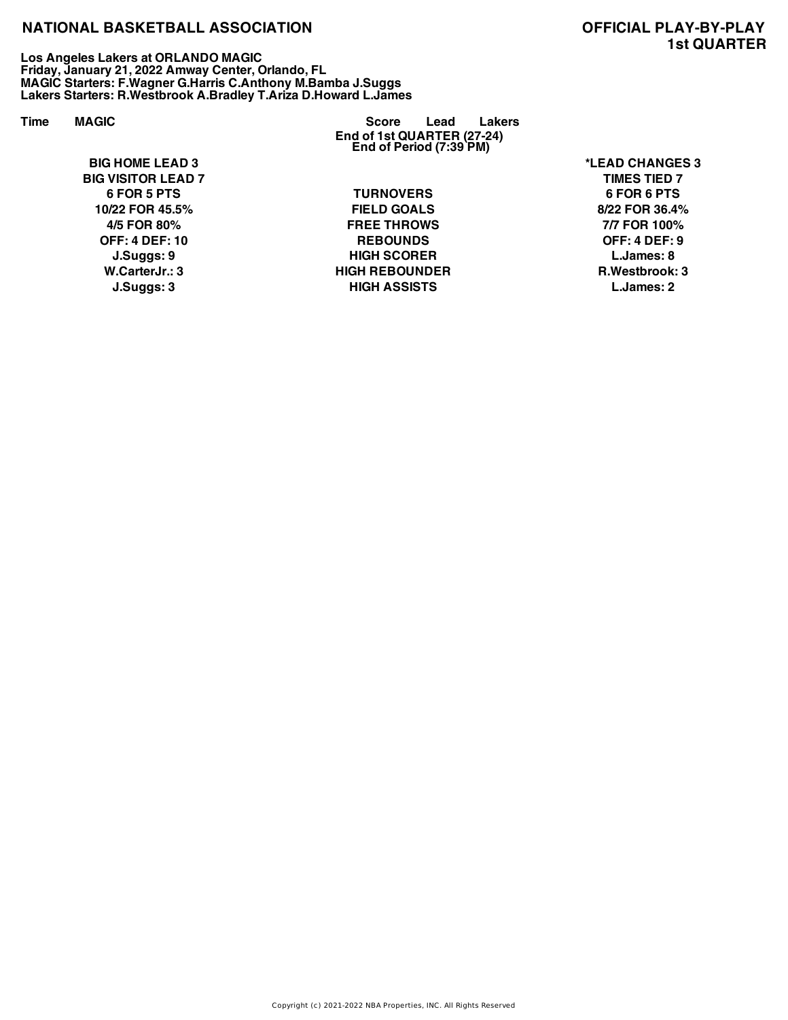**Los Angeles Lakers at ORLANDO MAGIC Friday, January 21, 2022 Amway Center, Orlando, FL MAGIC Starters: F.Wagner G.Harris C.Anthony M.Bamba J.Suggs Lakers Starters: R.Westbrook A.Bradley T.Ariza D.Howard L.James**

**BIG HOME LEAD 3 \*LEAD CHANGES 3 BIG VISITOR LEAD 7 TIMES TIED 7**

**End of 1st QUARTER (27-24) End of Period (7:39 PM) Time MAGIC Score Lead Lakers**

> **6 FOR 5 PTS TURNOVERS 6 FOR 6 PTS 10/22 FOR 45.5% FIELD GOALS 8/22 FOR 36.4% 4/5 FOR 80% FREE THROWS 7/7 FOR 100% OFF: 4 DEF: 10 REBOUNDS OFF: 4 DEF: 9 J.Suggs: 9 HIGH SCORER L.James: 8 W.CarterJr.: 3 HIGH REBOUNDER R.Westbrook: 3 J.Suggs: 3 HIGH ASSISTS L.James: 2**

# **1st QUARTER**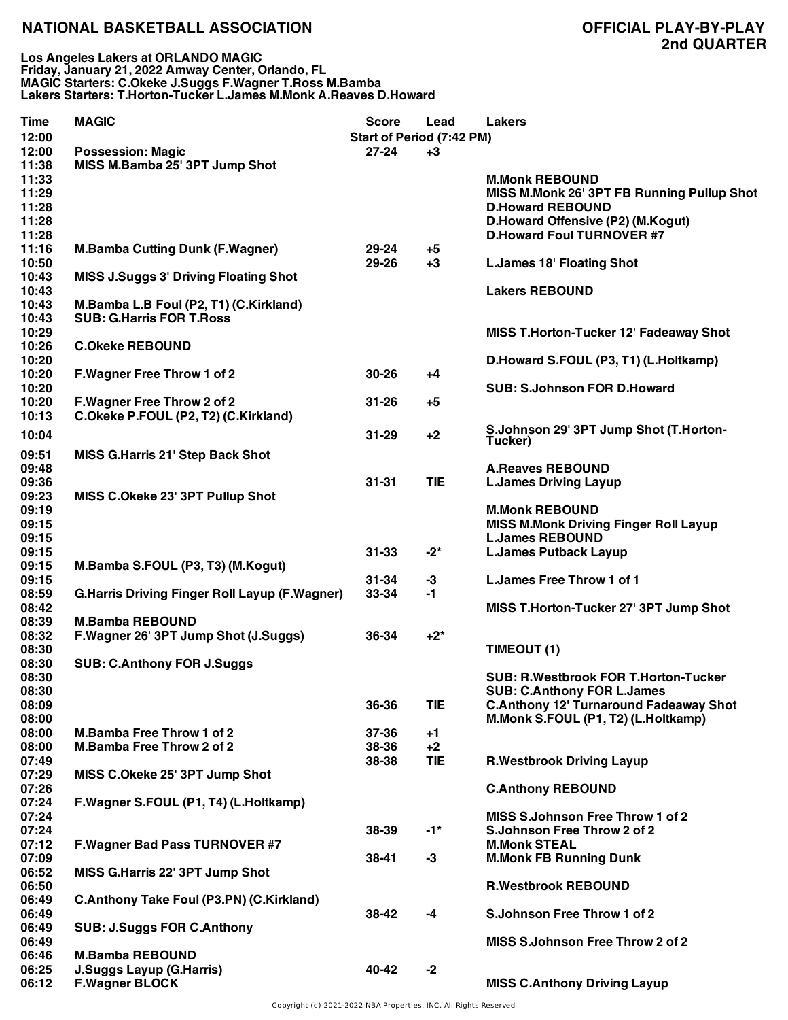| Time           | <b>MAGIC</b>                                         | <b>Score</b>              | Lead       | <b>Lakers</b>                                 |
|----------------|------------------------------------------------------|---------------------------|------------|-----------------------------------------------|
| 12:00          |                                                      | Start of Period (7:42 PM) |            |                                               |
| 12:00          | <b>Possession: Magic</b>                             | $27 - 24$                 | $+3$       |                                               |
| 11:38          | MISS M.Bamba 25' 3PT Jump Shot                       |                           |            |                                               |
| 11:33          |                                                      |                           |            | <b>M.Monk REBOUND</b>                         |
| 11:29          |                                                      |                           |            | MISS M.Monk 26' 3PT FB Running Pullup Shot    |
| 11:28          |                                                      |                           |            | <b>D.Howard REBOUND</b>                       |
| 11:28          |                                                      |                           |            | D.Howard Offensive (P2) (M.Kogut)             |
| 11:28          |                                                      |                           |            | <b>D.Howard Foul TURNOVER #7</b>              |
| 11:16          | <b>M.Bamba Cutting Dunk (F.Wagner)</b>               | 29-24                     | $+5$       |                                               |
| 10:50          |                                                      | 29-26                     | +3         | <b>L.James 18' Floating Shot</b>              |
| 10:43          | <b>MISS J.Suggs 3' Driving Floating Shot</b>         |                           |            |                                               |
| 10:43          |                                                      |                           |            | <b>Lakers REBOUND</b>                         |
| 10:43          | M.Bamba L.B Foul (P2, T1) (C.Kirkland)               |                           |            |                                               |
| 10:43          | <b>SUB: G.Harris FOR T.Ross</b>                      |                           |            |                                               |
| 10:29          |                                                      |                           |            | MISS T.Horton-Tucker 12' Fadeaway Shot        |
| 10:26          | <b>C.Okeke REBOUND</b>                               |                           |            |                                               |
| 10:20          |                                                      |                           |            | D.Howard S.FOUL (P3, T1) (L.Holtkamp)         |
| 10:20          | <b>F.Wagner Free Throw 1 of 2</b>                    | $30 - 26$                 | +4         |                                               |
| 10:20          |                                                      |                           |            | <b>SUB: S.Johnson FOR D.Howard</b>            |
| 10:20          | F. Wagner Free Throw 2 of 2                          | $31 - 26$                 | $+5$       |                                               |
| 10:13          | C.Okeke P.FOUL (P2, T2) (C.Kirkland)                 |                           |            |                                               |
|                |                                                      |                           |            | S.Johnson 29' 3PT Jump Shot (T.Horton-        |
| 10:04          |                                                      | $31 - 29$                 | $+2$       | Tucker)                                       |
| 09:51          | <b>MISS G.Harris 21' Step Back Shot</b>              |                           |            |                                               |
| 09:48          |                                                      |                           |            | <b>A.Reaves REBOUND</b>                       |
| 09:36          |                                                      | $31 - 31$                 | <b>TIE</b> | <b>L.James Driving Layup</b>                  |
| 09:23          | MISS C.Okeke 23' 3PT Pullup Shot                     |                           |            |                                               |
| 09:19          |                                                      |                           |            | <b>M.Monk REBOUND</b>                         |
| 09:15          |                                                      |                           |            | <b>MISS M.Monk Driving Finger Roll Layup</b>  |
| 09:15          |                                                      |                           |            | <b>L.James REBOUND</b>                        |
| 09:15          |                                                      | $31 - 33$                 | $-2^{*}$   | <b>L.James Putback Layup</b>                  |
| 09:15          | M.Bamba S.FOUL (P3, T3) (M.Kogut)                    |                           |            |                                               |
| 09:15          |                                                      | $31 - 34$                 | $-3$       | L. James Free Throw 1 of 1                    |
| 08:59          | <b>G.Harris Driving Finger Roll Layup (F.Wagner)</b> | 33-34                     | -1         |                                               |
| 08:42          |                                                      |                           |            | MISS T.Horton-Tucker 27' 3PT Jump Shot        |
| 08:39          | <b>M.Bamba REBOUND</b>                               |                           |            |                                               |
| 08:32          | F.Wagner 26' 3PT Jump Shot (J.Suggs)                 | 36-34                     | $+2^*$     |                                               |
| 08:30          |                                                      |                           |            | TIMEOUT (1)                                   |
| 08:30          | <b>SUB: C.Anthony FOR J.Suggs</b>                    |                           |            |                                               |
|                |                                                      |                           |            | <b>SUB: R.Westbrook FOR T.Horton-Tucker</b>   |
| 08:30<br>08:30 |                                                      |                           |            | <b>SUB: C.Anthony FOR L.James</b>             |
|                |                                                      | 36-36                     | <b>TIE</b> | <b>C.Anthony 12' Turnaround Fadeaway Shot</b> |
| 08:09          |                                                      |                           |            |                                               |
| 08:00          | <b>M.Bamba Free Throw 1 of 2</b>                     | 37-36                     |            | M.Monk S.FOUL (P1, T2) (L.Holtkamp)           |
| 08:00          |                                                      |                           | $+1$       |                                               |
| 08:00          | <b>M.Bamba Free Throw 2 of 2</b>                     | 38-36                     | $+2$       |                                               |
| 07:49          |                                                      | 38-38                     | TIE        | <b>R.Westbrook Driving Layup</b>              |
| 07:29          | MISS C.Okeke 25' 3PT Jump Shot                       |                           |            |                                               |
| 07:26          |                                                      |                           |            | <b>C.Anthony REBOUND</b>                      |
| 07:24          | F.Wagner S.FOUL (P1, T4) (L.Holtkamp)                |                           |            |                                               |
| 07:24          |                                                      |                           |            | MISS S.Johnson Free Throw 1 of 2              |
| 07:24          |                                                      | 38-39                     | $-1^*$     | S.Johnson Free Throw 2 of 2                   |
| 07:12          | <b>F.Wagner Bad Pass TURNOVER #7</b>                 |                           |            | <b>M.Monk STEAL</b>                           |
| 07:09          |                                                      | 38-41                     | $-3$       | <b>M.Monk FB Running Dunk</b>                 |
| 06:52          | MISS G.Harris 22' 3PT Jump Shot                      |                           |            |                                               |
| 06:50          |                                                      |                           |            | <b>R.Westbrook REBOUND</b>                    |
| 06:49          | <b>C.Anthony Take Foul (P3.PN) (C.Kirkland)</b>      |                           |            |                                               |
| 06:49          |                                                      | 38-42                     | -4         | S.Johnson Free Throw 1 of 2                   |
| 06:49          | <b>SUB: J.Suggs FOR C.Anthony</b>                    |                           |            |                                               |
| 06:49          |                                                      |                           |            | MISS S.Johnson Free Throw 2 of 2              |
| 06:46          | <b>M.Bamba REBOUND</b>                               |                           |            |                                               |
| 06:25          | <b>J.Suggs Layup (G.Harris)</b>                      | 40-42                     | $-2$       |                                               |
| 06:12          | <b>F.Wagner BLOCK</b>                                |                           |            | <b>MISS C.Anthony Driving Layup</b>           |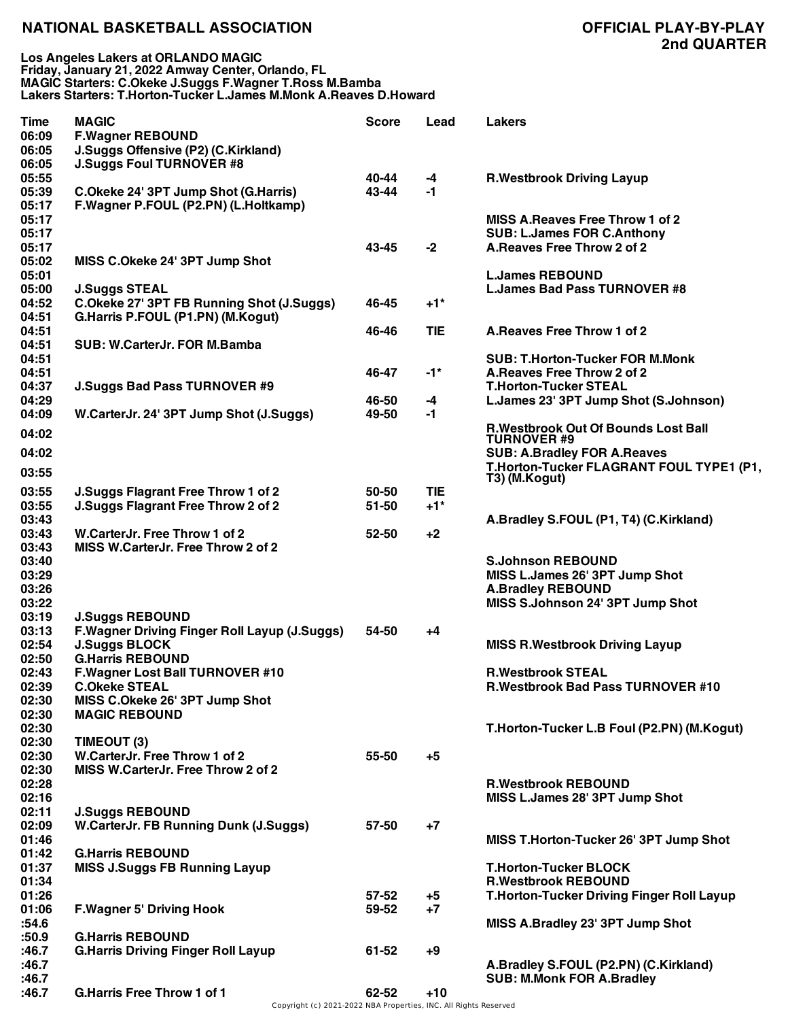**Los Angeles Lakers at ORLANDO MAGIC Friday, January 21, 2022 Amway Center, Orlando, FL MAGIC Starters: C.Okeke J.Suggs F.Wagner T.Ross M.Bamba Lakers Starters: T.Horton-Tucker L.James M.Monk A.Reaves D.Howard**

| <b>Time</b><br>06:09<br>06:05 | <b>MAGIC</b><br><b>F.Wagner REBOUND</b><br>J.Suggs Offensive (P2) (C.Kirkland) | <b>Score</b> | Lead              | <b>Lakers</b>                                    |
|-------------------------------|--------------------------------------------------------------------------------|--------------|-------------------|--------------------------------------------------|
| 06:05                         | <b>J.Suggs Foul TURNOVER #8</b>                                                |              |                   |                                                  |
| 05:55                         |                                                                                | 40-44        | $-4$              | <b>R.Westbrook Driving Layup</b>                 |
| 05:39                         | C.Okeke 24' 3PT Jump Shot (G.Harris)                                           | 43-44        | -1                |                                                  |
| 05:17                         | F.Wagner P.FOUL (P2.PN) (L.Holtkamp)                                           |              |                   |                                                  |
| 05:17                         |                                                                                |              |                   | <b>MISS A.Reaves Free Throw 1 of 2</b>           |
| 05:17                         |                                                                                |              |                   | <b>SUB: L.James FOR C.Anthony</b>                |
| 05:17                         |                                                                                | 43-45        | $-2$              | A. Reaves Free Throw 2 of 2                      |
| 05:02                         | MISS C.Okeke 24' 3PT Jump Shot                                                 |              |                   |                                                  |
| 05:01<br>05:00                |                                                                                |              |                   | <b>L.James REBOUND</b>                           |
| 04:52                         | <b>J.Suggs STEAL</b><br>C.Okeke 27' 3PT FB Running Shot (J.Suggs)              | 46-45        | $+1$ *            | <b>L.James Bad Pass TURNOVER #8</b>              |
| 04:51                         | G.Harris P.FOUL (P1.PN) (M.Kogut)                                              |              |                   |                                                  |
| 04:51                         |                                                                                | 46-46        | <b>TIE</b>        | A. Reaves Free Throw 1 of 2                      |
| 04:51                         | SUB: W.CarterJr. FOR M.Bamba                                                   |              |                   |                                                  |
| 04:51                         |                                                                                |              |                   | <b>SUB: T.Horton-Tucker FOR M.Monk</b>           |
| 04:51                         |                                                                                | 46-47        | $-1*$             | A. Reaves Free Throw 2 of 2                      |
| 04:37                         | <b>J.Suggs Bad Pass TURNOVER #9</b>                                            |              |                   | <b>T.Horton-Tucker STEAL</b>                     |
| 04:29                         |                                                                                | 46-50        | -4                | L.James 23' 3PT Jump Shot (S.Johnson)            |
| 04:09                         | W.CarterJr. 24' 3PT Jump Shot (J.Suggs)                                        | 49-50        | -1                |                                                  |
| 04:02                         |                                                                                |              |                   | <b>R.Westbrook Out Of Bounds Lost Ball</b>       |
|                               |                                                                                |              |                   | <b>TURNOVER #9</b>                               |
| 04:02                         |                                                                                |              |                   | <b>SUB: A.Bradley FOR A.Reaves</b>               |
| 03:55                         |                                                                                |              |                   | T.Horton-Tucker FLAGRANT FOUL TYPE1 (P1,         |
| 03:55                         | J.Suggs Flagrant Free Throw 1 of 2                                             | 50-50        | <b>TIE</b>        | T3) (M.Kogut)                                    |
| 03:55                         | J.Suggs Flagrant Free Throw 2 of 2                                             | $51 - 50$    | $+1$ <sup>*</sup> |                                                  |
| 03:43                         |                                                                                |              |                   | A.Bradley S.FOUL (P1, T4) (C.Kirkland)           |
| 03:43                         | W.CarterJr. Free Throw 1 of 2                                                  | 52-50        | $+2$              |                                                  |
| 03:43                         | MISS W.CarterJr. Free Throw 2 of 2                                             |              |                   |                                                  |
| 03:40                         |                                                                                |              |                   | <b>S.Johnson REBOUND</b>                         |
| 03:29                         |                                                                                |              |                   | MISS L.James 26' 3PT Jump Shot                   |
| 03:26                         |                                                                                |              |                   | <b>A.Bradley REBOUND</b>                         |
| 03:22                         |                                                                                |              |                   | MISS S.Johnson 24' 3PT Jump Shot                 |
| 03:19                         | <b>J.Suggs REBOUND</b>                                                         |              |                   |                                                  |
| 03:13                         | F. Wagner Driving Finger Roll Layup (J. Suggs)                                 | 54-50        | +4                |                                                  |
| 02:54                         | <b>J.Suggs BLOCK</b>                                                           |              |                   | <b>MISS R. Westbrook Driving Layup</b>           |
| 02:50                         | <b>G.Harris REBOUND</b>                                                        |              |                   |                                                  |
| 02:43                         | <b>F.Wagner Lost Ball TURNOVER #10</b>                                         |              |                   | <b>R.Westbrook STEAL</b>                         |
| 02:39<br>02:30                | <b>C.Okeke STEAL</b><br>MISS C.Okeke 26' 3PT Jump Shot                         |              |                   | R.Westbrook Bad Pass TURNOVER #10                |
| 02:30                         | <b>MAGIC REBOUND</b>                                                           |              |                   |                                                  |
| 02:30                         |                                                                                |              |                   | T.Horton-Tucker L.B Foul (P2.PN) (M.Kogut)       |
| 02:30                         | TIMEOUT (3)                                                                    |              |                   |                                                  |
| 02:30                         | W.CarterJr. Free Throw 1 of 2                                                  | 55-50        | $+5$              |                                                  |
| 02:30                         | MISS W.CarterJr. Free Throw 2 of 2                                             |              |                   |                                                  |
| 02:28                         |                                                                                |              |                   | <b>R.Westbrook REBOUND</b>                       |
| 02:16                         |                                                                                |              |                   | MISS L.James 28' 3PT Jump Shot                   |
| 02:11                         | <b>J.Suggs REBOUND</b>                                                         |              |                   |                                                  |
| 02:09                         | <b>W.CarterJr. FB Running Dunk (J.Suggs)</b>                                   | 57-50        | $+7$              |                                                  |
| 01:46                         |                                                                                |              |                   | MISS T.Horton-Tucker 26' 3PT Jump Shot           |
| 01:42                         | <b>G.Harris REBOUND</b>                                                        |              |                   |                                                  |
| 01:37                         | <b>MISS J.Suggs FB Running Layup</b>                                           |              |                   | <b>T.Horton-Tucker BLOCK</b>                     |
| 01:34                         |                                                                                |              |                   | <b>R.Westbrook REBOUND</b>                       |
| 01:26                         |                                                                                | $57 - 52$    | $+5$              | <b>T.Horton-Tucker Driving Finger Roll Layup</b> |
| 01:06                         | <b>F.Wagner 5' Driving Hook</b>                                                | 59-52        | $+7$              |                                                  |
| :54.6<br>:50.9                | <b>G.Harris REBOUND</b>                                                        |              |                   | MISS A.Bradley 23' 3PT Jump Shot                 |
| :46.7                         | <b>G.Harris Driving Finger Roll Layup</b>                                      | 61-52        | $+9$              |                                                  |
| :46.7                         |                                                                                |              |                   | A.Bradley S.FOUL (P2.PN) (C.Kirkland)            |
| :46.7                         |                                                                                |              |                   | <b>SUB: M.Monk FOR A.Bradley</b>                 |
| :46.7                         | <b>G.Harris Free Throw 1 of 1</b>                                              | 62-52        | $+10$             |                                                  |
|                               |                                                                                |              |                   |                                                  |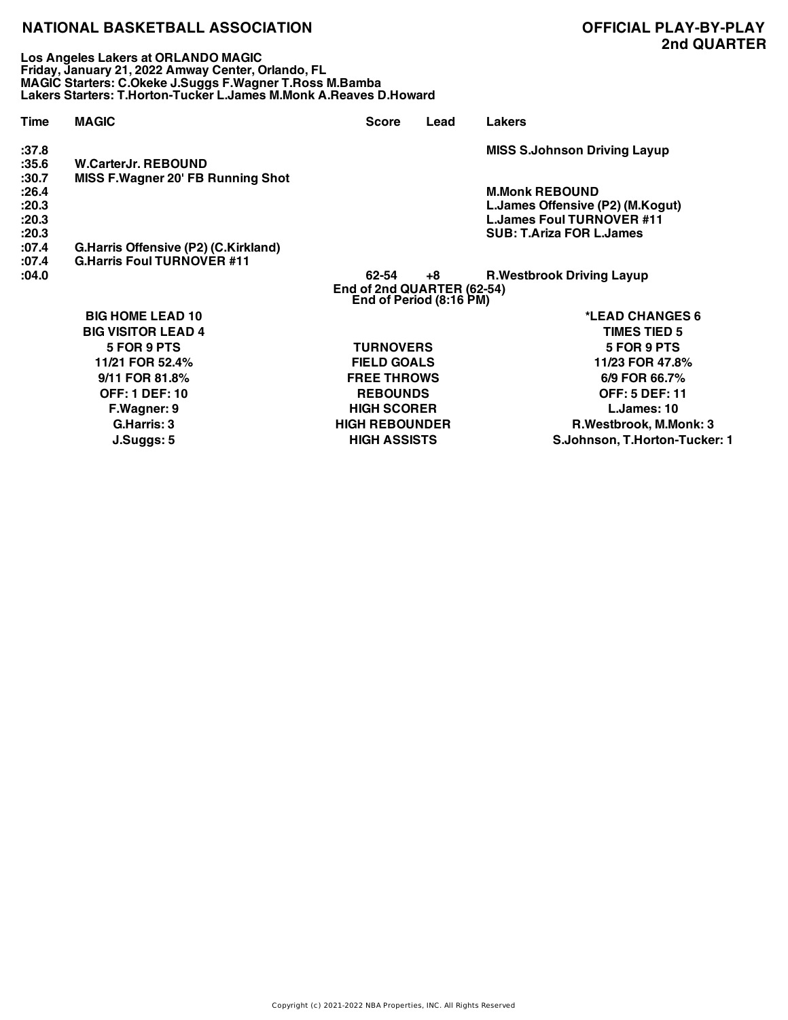**Los Angeles Lakers at ORLANDO MAGIC Friday, January 21, 2022 Amway Center, Orlando, FL MAGIC Starters: C.Okeke J.Suggs F.Wagner T.Ross M.Bamba Lakers Starters: T.Horton-Tucker L.James M.Monk A.Reaves D.Howard**

**:37.8 MISS S.Johnson Driving Layup :35.6 W.CarterJr. REBOUND :30.7 MISS F.Wagner 20' FB Running Shot :26.4 M.Monk REBOUND :20.3 L.James Offensive (P2) (M.Kogut) :20.3 L.James Foul TURNOVER #11 :20.3 SUB: T.Ariza FOR L.James :07.4 G.Harris Offensive (P2) (C.Kirkland) :07.4 G.Harris Foul TURNOVER #11 :04.0 62-54 +8 R.Westbrook Driving Layup End of 2nd QUARTER (62-54) End of Period (8:16 PM) Time MAGIC Score Lead Lakers BIG HOME LEAD 10 \*LEAD CHANGES 6 BIG VISITOR LEAD 4 TIMES TIED 5 5 FOR 9 PTS TURNOVERS 5 FOR 9 PTS 11/21 FOR 52.4% FIELD GOALS 11/23 FOR 47.8% 9/11 FOR 81.8% FREE THROWS 6/9 FOR 66.7% OFF: 1 DEF: 10 REBOUNDS OFF: 5 DEF: 11 F.Wagner: 9 HIGH SCORER L.James: 10**

**G.Harris: 3 HIGH REBOUNDER R.Westbrook, M.Monk: 3 J.Suggs: 5 HIGH ASSISTS S.Johnson, T.Horton-Tucker: 1**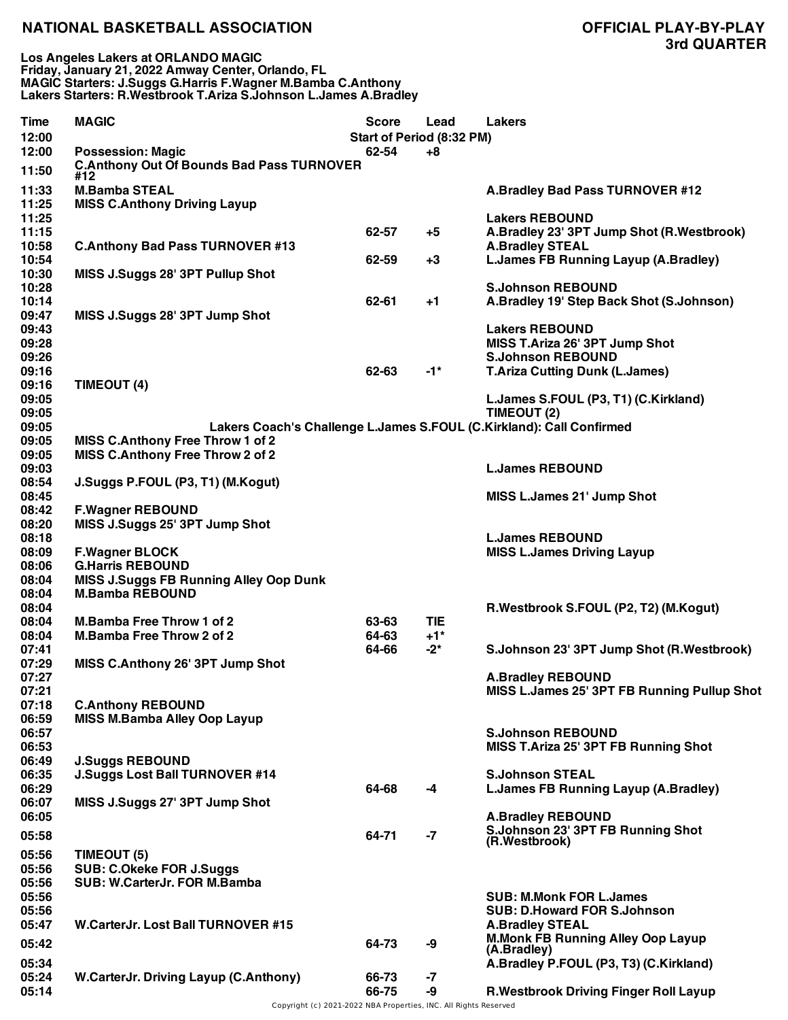| Time           | <b>MAGIC</b>                                                                 | <b>Score</b><br>Start of Period (8:32 PM) | Lead              | <b>Lakers</b>                                                        |
|----------------|------------------------------------------------------------------------------|-------------------------------------------|-------------------|----------------------------------------------------------------------|
| 12:00          |                                                                              |                                           |                   |                                                                      |
| 12:00<br>11:50 | <b>Possession: Magic</b><br><b>C.Anthony Out Of Bounds Bad Pass TURNOVER</b> | 62-54                                     | +8                |                                                                      |
|                | #12                                                                          |                                           |                   |                                                                      |
| 11:33          | <b>M.Bamba STEAL</b>                                                         |                                           |                   | A.Bradley Bad Pass TURNOVER #12                                      |
| 11:25          | <b>MISS C.Anthony Driving Layup</b>                                          |                                           |                   |                                                                      |
| 11:25          |                                                                              |                                           |                   | <b>Lakers REBOUND</b>                                                |
| 11:15          |                                                                              | 62-57                                     | $+5$              | A.Bradley 23' 3PT Jump Shot (R.Westbrook)                            |
| 10:58          | <b>C.Anthony Bad Pass TURNOVER #13</b>                                       |                                           |                   | <b>A.Bradley STEAL</b>                                               |
| 10:54          |                                                                              | 62-59                                     | $+3$              | L.James FB Running Layup (A.Bradley)                                 |
| 10:30          | MISS J.Suggs 28' 3PT Pullup Shot                                             |                                           |                   |                                                                      |
| 10:28          |                                                                              |                                           |                   | <b>S.Johnson REBOUND</b>                                             |
| 10:14          |                                                                              | 62-61                                     | $+1$              | A.Bradley 19' Step Back Shot (S.Johnson)                             |
| 09:47          | MISS J.Suggs 28' 3PT Jump Shot                                               |                                           |                   |                                                                      |
| 09:43          |                                                                              |                                           |                   | <b>Lakers REBOUND</b>                                                |
| 09:28          |                                                                              |                                           |                   | MISS T.Ariza 26' 3PT Jump Shot                                       |
| 09:26          |                                                                              |                                           |                   | <b>S.Johnson REBOUND</b>                                             |
| 09:16          |                                                                              | 62-63                                     | $-1*$             | <b>T.Ariza Cutting Dunk (L.James)</b>                                |
| 09:16          | TIMEOUT (4)                                                                  |                                           |                   |                                                                      |
| 09:05          |                                                                              |                                           |                   | L.James S.FOUL (P3, T1) (C.Kirkland)                                 |
| 09:05          |                                                                              |                                           |                   | TIMEOUT (2)                                                          |
| 09:05          |                                                                              |                                           |                   | Lakers Coach's Challenge L.James S.FOUL (C.Kirkland): Call Confirmed |
| 09:05          | <b>MISS C.Anthony Free Throw 1 of 2</b>                                      |                                           |                   |                                                                      |
| 09:05          | MISS C.Anthony Free Throw 2 of 2                                             |                                           |                   |                                                                      |
| 09:03          |                                                                              |                                           |                   | <b>L.James REBOUND</b>                                               |
| 08:54          | J.Suggs P.FOUL (P3, T1) (M.Kogut)                                            |                                           |                   |                                                                      |
| 08:45          |                                                                              |                                           |                   | MISS L.James 21' Jump Shot                                           |
| 08:42          | <b>F.Wagner REBOUND</b>                                                      |                                           |                   |                                                                      |
| 08:20          | MISS J.Suggs 25' 3PT Jump Shot                                               |                                           |                   |                                                                      |
| 08:18          |                                                                              |                                           |                   | <b>L.James REBOUND</b>                                               |
| 08:09          | <b>F.Wagner BLOCK</b>                                                        |                                           |                   | <b>MISS L.James Driving Layup</b>                                    |
| 08:06          | <b>G.Harris REBOUND</b>                                                      |                                           |                   |                                                                      |
| 08:04          | <b>MISS J.Suggs FB Running Alley Oop Dunk</b>                                |                                           |                   |                                                                      |
| 08:04          | <b>M.Bamba REBOUND</b>                                                       |                                           |                   |                                                                      |
| 08:04          |                                                                              |                                           |                   | R.Westbrook S.FOUL (P2, T2) (M.Kogut)                                |
| 08:04          | <b>M.Bamba Free Throw 1 of 2</b>                                             | 63-63                                     | <b>TIE</b>        |                                                                      |
| 08:04          | <b>M.Bamba Free Throw 2 of 2</b>                                             | 64-63                                     | $+1$ <sup>*</sup> |                                                                      |
| 07:41          |                                                                              | 64-66                                     | $-2^{*}$          | S.Johnson 23' 3PT Jump Shot (R.Westbrook)                            |
| 07:29          | MISS C.Anthony 26' 3PT Jump Shot                                             |                                           |                   |                                                                      |
| 07:27          |                                                                              |                                           |                   | <b>A.Bradley REBOUND</b>                                             |
| 07:21          |                                                                              |                                           |                   | MISS L.James 25' 3PT FB Running Pullup Shot                          |
| 07:18          | <b>C.Anthony REBOUND</b>                                                     |                                           |                   |                                                                      |
| 06:59          | <b>MISS M.Bamba Alley Oop Layup</b>                                          |                                           |                   |                                                                      |
| 06:57          |                                                                              |                                           |                   | <b>S.Johnson REBOUND</b>                                             |
| 06:53          |                                                                              |                                           |                   | MISS T.Ariza 25' 3PT FB Running Shot                                 |
| 06:49          | <b>J.Suggs REBOUND</b>                                                       |                                           |                   |                                                                      |
| 06:35          | J.Suggs Lost Ball TURNOVER #14                                               |                                           |                   | <b>S.Johnson STEAL</b>                                               |
| 06:29          |                                                                              | 64-68                                     | -4                | L.James FB Running Layup (A.Bradley)                                 |
| 06:07          | MISS J.Suggs 27' 3PT Jump Shot                                               |                                           |                   |                                                                      |
| 06:05          |                                                                              |                                           |                   | <b>A.Bradley REBOUND</b>                                             |
| 05:58          |                                                                              | 64-71                                     | $-7$              | S.Johnson 23' 3PT FB Running Shot                                    |
|                |                                                                              |                                           |                   | (R.Westbrook)                                                        |
| 05:56          | TIMEOUT (5)                                                                  |                                           |                   |                                                                      |
| 05:56          | <b>SUB: C.Okeke FOR J.Suggs</b>                                              |                                           |                   |                                                                      |
| 05:56          | SUB: W.CarterJr. FOR M.Bamba                                                 |                                           |                   |                                                                      |
| 05:56          |                                                                              |                                           |                   | <b>SUB: M.Monk FOR L.James</b>                                       |
| 05:56          |                                                                              |                                           |                   | <b>SUB: D.Howard FOR S.Johnson</b>                                   |
| 05:47          | W.CarterJr. Lost Ball TURNOVER #15                                           |                                           |                   | <b>A.Bradley STEAL</b>                                               |
| 05:42          |                                                                              | 64-73                                     | -9                | <b>M.Monk FB Running Alley Oop Layup</b>                             |
|                |                                                                              |                                           |                   | (A.Bradley)                                                          |
| 05:34          |                                                                              |                                           |                   | A.Bradley P.FOUL (P3, T3) (C.Kirkland)                               |
| 05:24          | <b>W.CarterJr. Driving Layup (C.Anthony)</b>                                 | 66-73                                     | -7                |                                                                      |
| 05:14          |                                                                              | 66-75                                     | -9                | R. Westbrook Driving Finger Roll Layup                               |

Copyright (c) 2021-2022 NBA Properties, INC. All Rights Reserved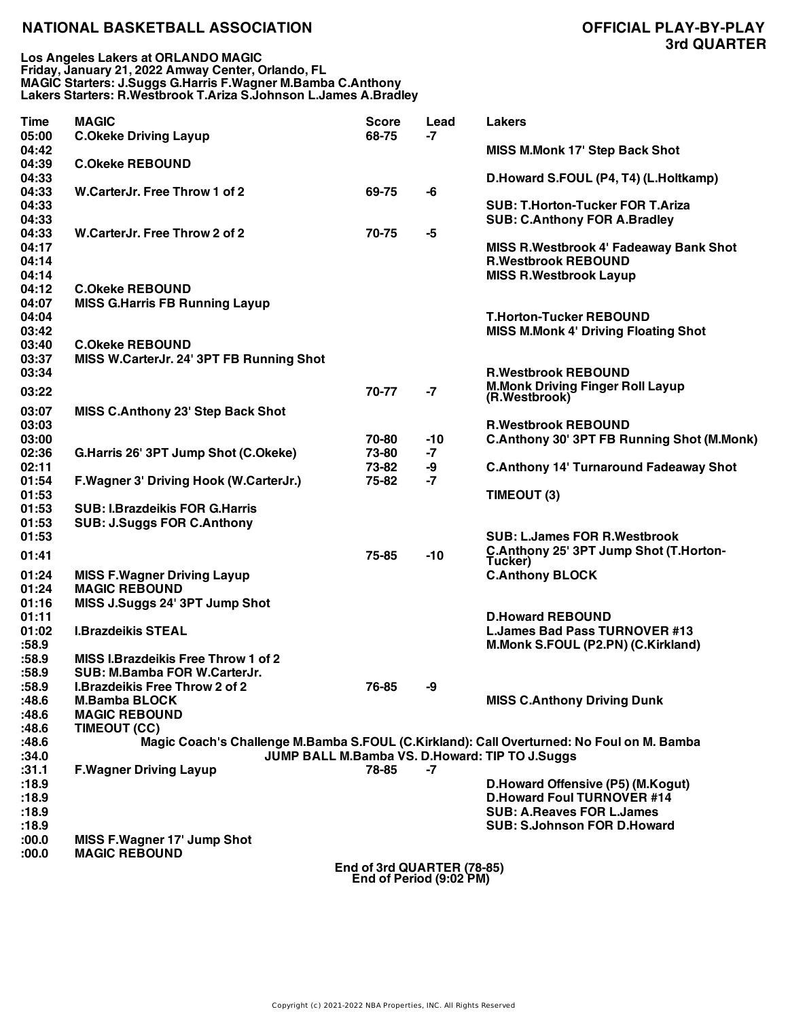| <b>Time</b>                      | <b>MAGIC</b>                                                                                  | <b>Score</b> | Lead                                                  | <b>Lakers</b>                                                                                                 |
|----------------------------------|-----------------------------------------------------------------------------------------------|--------------|-------------------------------------------------------|---------------------------------------------------------------------------------------------------------------|
| 05:00<br>04:42                   | <b>C.Okeke Driving Layup</b>                                                                  | 68-75        | $-7$                                                  | <b>MISS M.Monk 17' Step Back Shot</b>                                                                         |
| 04:39                            | <b>C.Okeke REBOUND</b>                                                                        |              |                                                       |                                                                                                               |
| 04:33<br>04:33                   | W.CarterJr. Free Throw 1 of 2                                                                 | 69-75        | -6                                                    | D.Howard S.FOUL (P4, T4) (L.Holtkamp)                                                                         |
| 04:33<br>04:33                   |                                                                                               |              |                                                       | <b>SUB: T.Horton-Tucker FOR T.Ariza</b><br><b>SUB: C.Anthony FOR A.Bradley</b>                                |
| 04:33<br>04:17<br>04:14<br>04:14 | W.CarterJr. Free Throw 2 of 2                                                                 | 70-75        | -5                                                    | <b>MISS R. Westbrook 4' Fadeaway Bank Shot</b><br><b>R.Westbrook REBOUND</b><br><b>MISS R.Westbrook Layup</b> |
| 04:12<br>04:07                   | <b>C.Okeke REBOUND</b>                                                                        |              |                                                       |                                                                                                               |
| 04:04<br>03:42                   | <b>MISS G.Harris FB Running Layup</b>                                                         |              |                                                       | <b>T.Horton-Tucker REBOUND</b><br><b>MISS M.Monk 4' Driving Floating Shot</b>                                 |
| 03:40<br>03:37                   | <b>C.Okeke REBOUND</b><br>MISS W.CarterJr. 24' 3PT FB Running Shot                            |              |                                                       |                                                                                                               |
| 03:34                            |                                                                                               |              |                                                       | <b>R.Westbrook REBOUND</b>                                                                                    |
| 03:22                            |                                                                                               | 70-77        | $-7$                                                  | <b>M.Monk Driving Finger Roll Layup</b><br>(R.Westbrook)                                                      |
| 03:07<br>03:03                   | <b>MISS C.Anthony 23' Step Back Shot</b>                                                      |              |                                                       | <b>R.Westbrook REBOUND</b>                                                                                    |
| 03:00                            |                                                                                               | 70-80        | $-10$                                                 | <b>C.Anthony 30' 3PT FB Running Shot (M.Monk)</b>                                                             |
| 02:36                            | G.Harris 26' 3PT Jump Shot (C.Okeke)                                                          | 73-80        | $-7$                                                  |                                                                                                               |
| 02:11                            |                                                                                               | 73-82        | -9                                                    | <b>C.Anthony 14' Turnaround Fadeaway Shot</b>                                                                 |
| 01:54<br>01:53                   | F. Wagner 3' Driving Hook (W. Carter Jr.)                                                     | 75-82        | -7                                                    | TIMEOUT (3)                                                                                                   |
| 01:53<br>01:53                   | <b>SUB: I.Brazdeikis FOR G.Harris</b><br><b>SUB: J.Suggs FOR C.Anthony</b>                    |              |                                                       |                                                                                                               |
| 01:53                            |                                                                                               |              |                                                       | <b>SUB: L.James FOR R.Westbrook</b>                                                                           |
| 01:41                            |                                                                                               | 75-85        | $-10$                                                 | C.Anthony 25' 3PT Jump Shot (T.Horton-<br>Tucker)                                                             |
| 01:24<br>01:24<br>01:16          | <b>MISS F. Wagner Driving Layup</b><br><b>MAGIC REBOUND</b><br>MISS J.Suggs 24' 3PT Jump Shot |              |                                                       | <b>C.Anthony BLOCK</b>                                                                                        |
| 01:11                            |                                                                                               |              |                                                       | <b>D.Howard REBOUND</b>                                                                                       |
| 01:02<br>:58.9                   | <b>I.Brazdeikis STEAL</b>                                                                     |              |                                                       | <b>L.James Bad Pass TURNOVER #13</b><br>M.Monk S.FOUL (P2.PN) (C.Kirkland)                                    |
| :58.9                            | <b>MISS I.Brazdeikis Free Throw 1 of 2</b>                                                    |              |                                                       |                                                                                                               |
| :58.9                            | SUB: M.Bamba FOR W.CarterJr.                                                                  |              |                                                       |                                                                                                               |
| :58.9                            | I.Brazdeikis Free Throw 2 of 2<br><b>M.Bamba BLOCK</b>                                        | 76-85        | -9                                                    |                                                                                                               |
| :48.6<br>:48.6                   | <b>MAGIC REBOUND</b>                                                                          |              |                                                       | <b>MISS C.Anthony Driving Dunk</b>                                                                            |
| :48.6                            | TIMEOUT (CC)                                                                                  |              |                                                       |                                                                                                               |
| :48.6                            |                                                                                               |              |                                                       | Magic Coach's Challenge M.Bamba S.FOUL (C.Kirkland): Call Overturned: No Foul on M. Bamba                     |
| :34.0                            |                                                                                               |              |                                                       | JUMP BALL M.Bamba VS. D.Howard: TIP TO J.Suggs                                                                |
| :31.1                            | <b>F.Wagner Driving Layup</b>                                                                 | 78-85        | -7                                                    |                                                                                                               |
| :18.9                            |                                                                                               |              |                                                       | D.Howard Offensive (P5) (M.Kogut)                                                                             |
| :18.9                            |                                                                                               |              |                                                       | <b>D.Howard Foul TURNOVER #14</b>                                                                             |
| :18.9<br>:18.9                   |                                                                                               |              |                                                       | <b>SUB: A.Reaves FOR L.James</b><br><b>SUB: S.Johnson FOR D.Howard</b>                                        |
| :00.0                            | <b>MISS F.Wagner 17' Jump Shot</b>                                                            |              |                                                       |                                                                                                               |
| :00.0                            | <b>MAGIC REBOUND</b>                                                                          |              |                                                       |                                                                                                               |
|                                  |                                                                                               |              | End of 3rd QUARTER (78-85)<br>End of Period (9:02 PM) |                                                                                                               |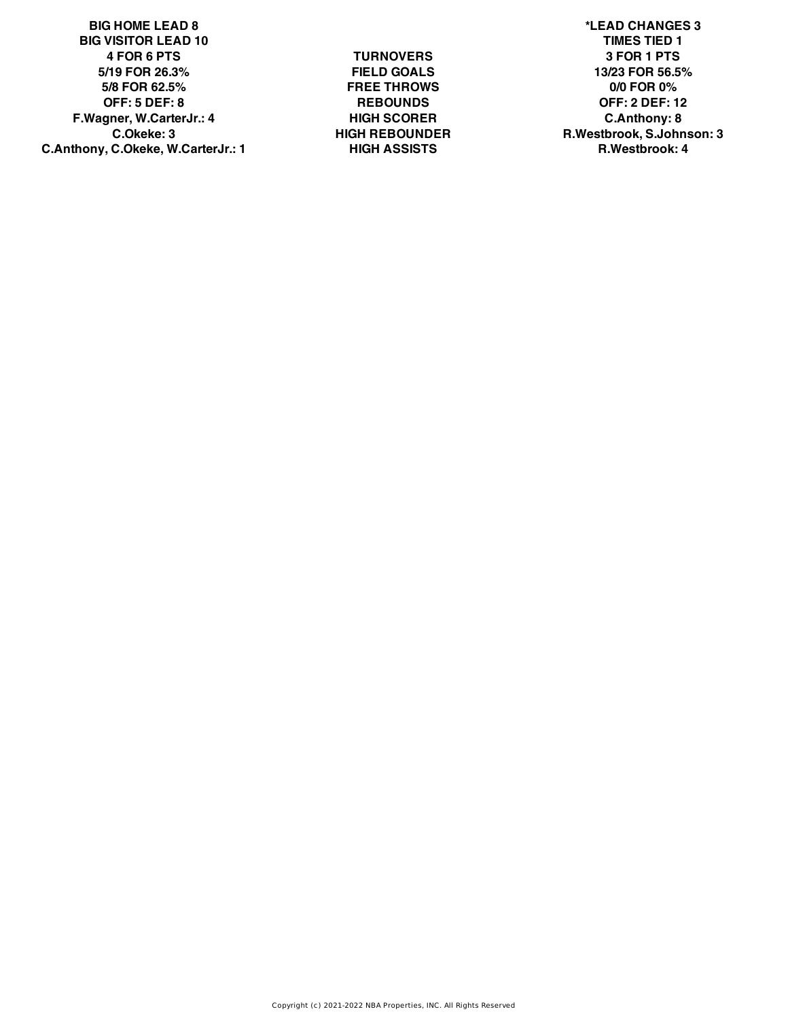**BIG HOME LEAD 8 \*LEAD CHANGES 3 BIG VISITOR LEAD 10 TIMES TIED 1 4 FOR 6 PTS TURNOVERS 3 FOR 1 PTS 5/19 FOR 26.3% FIELD GOALS 13/23 FOR 56.5% 5/8 FOR 62.5% FREE THROWS 0/0 FOR 0% OFF: 5 DEF: 8 REBOUNDS OFF: 2 DEF: 12 F.Wagner, W.CarterJr.: 4 HIGH SCORER C.Anthony: 8 C.Anthony, C.Okeke, W.CarterJr.: 1 HIGH ASSISTS R.Westbrook: 4**

**C.Okeke: 3 HIGH REBOUNDER R.Westbrook, S.Johnson: 3**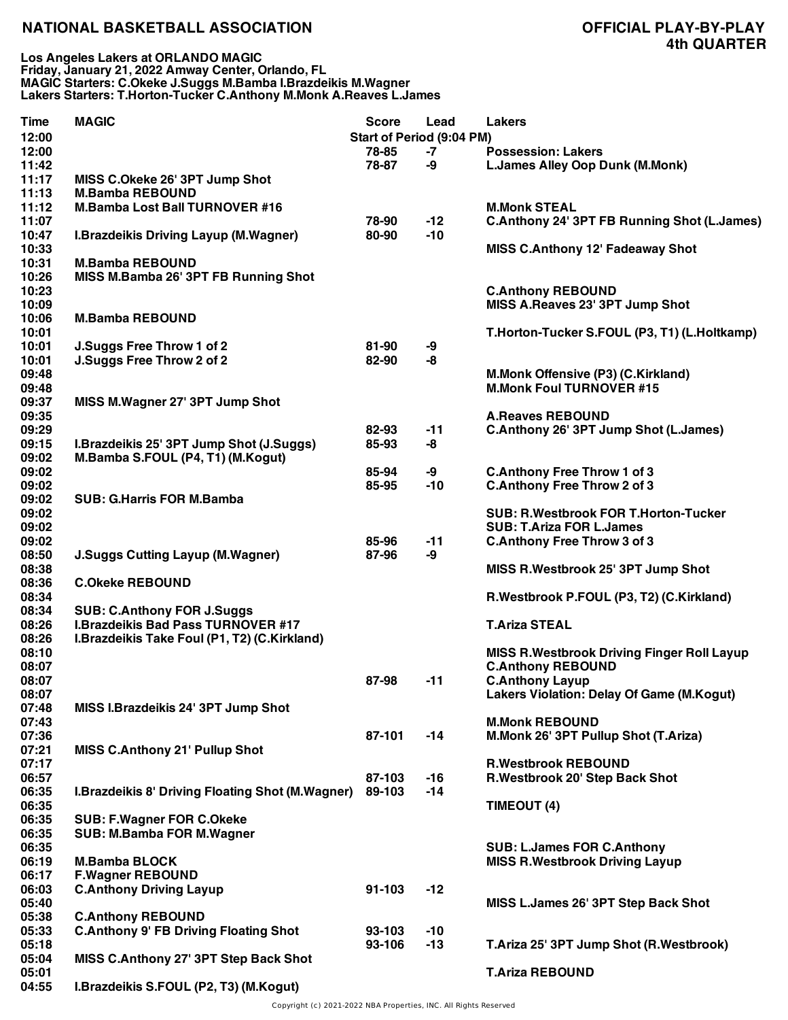| Time<br>12:00  | <b>MAGIC</b>                                             | <b>Score</b> | Lead<br><b>Start of Period (9:04 PM)</b> | <b>Lakers</b>                                      |
|----------------|----------------------------------------------------------|--------------|------------------------------------------|----------------------------------------------------|
| 12:00          |                                                          | 78-85        |                                          | <b>Possession: Lakers</b>                          |
| 11:42          |                                                          | 78-87        | -7<br>-9                                 |                                                    |
| 11:17          |                                                          |              |                                          | <b>L.James Alley Oop Dunk (M.Monk)</b>             |
| 11:13          | MISS C.Okeke 26' 3PT Jump Shot<br><b>M.Bamba REBOUND</b> |              |                                          |                                                    |
|                |                                                          |              |                                          | <b>M.Monk STEAL</b>                                |
| 11:12          | <b>M.Bamba Lost Ball TURNOVER #16</b>                    |              |                                          |                                                    |
| 11:07          |                                                          | 78-90        | $-12$                                    | <b>C.Anthony 24' 3PT FB Running Shot (L.James)</b> |
| 10:47          | I.Brazdeikis Driving Layup (M.Wagner)                    | 80-90        | $-10$                                    |                                                    |
| 10:33          |                                                          |              |                                          | <b>MISS C.Anthony 12' Fadeaway Shot</b>            |
| 10:31          | <b>M.Bamba REBOUND</b>                                   |              |                                          |                                                    |
| 10:26          | MISS M.Bamba 26' 3PT FB Running Shot                     |              |                                          |                                                    |
| 10:23          |                                                          |              |                                          | <b>C.Anthony REBOUND</b>                           |
| 10:09          |                                                          |              |                                          | MISS A.Reaves 23' 3PT Jump Shot                    |
| 10:06          | <b>M.Bamba REBOUND</b>                                   |              |                                          |                                                    |
| 10:01          |                                                          |              |                                          | T.Horton-Tucker S.FOUL (P3, T1) (L.Holtkamp)       |
| 10:01          | J.Suggs Free Throw 1 of 2                                | 81-90        | -9                                       |                                                    |
| 10:01          | J.Suggs Free Throw 2 of 2                                | 82-90        | -8                                       |                                                    |
| 09:48          |                                                          |              |                                          | M.Monk Offensive (P3) (C.Kirkland)                 |
| 09:48          |                                                          |              |                                          | <b>M.Monk Foul TURNOVER #15</b>                    |
| 09:37          | MISS M.Wagner 27' 3PT Jump Shot                          |              |                                          |                                                    |
| 09:35          |                                                          |              |                                          | <b>A.Reaves REBOUND</b>                            |
| 09:29          |                                                          | 82-93        | $-11$                                    | C.Anthony 26' 3PT Jump Shot (L.James)              |
| 09:15          | I.Brazdeikis 25' 3PT Jump Shot (J.Suggs)                 | 85-93        | -8                                       |                                                    |
| 09:02          | M.Bamba S.FOUL (P4, T1) (M.Kogut)                        |              |                                          |                                                    |
| 09:02          |                                                          | 85-94        | -9                                       | <b>C.Anthony Free Throw 1 of 3</b>                 |
| 09:02          |                                                          | 85-95        | $-10$                                    | <b>C.Anthony Free Throw 2 of 3</b>                 |
| 09:02          | <b>SUB: G.Harris FOR M.Bamba</b>                         |              |                                          |                                                    |
| 09:02          |                                                          |              |                                          | SUB: R.Westbrook FOR T.Horton-Tucker               |
| 09:02          |                                                          |              |                                          | <b>SUB: T.Ariza FOR L.James</b>                    |
| 09:02          |                                                          | 85-96        | $-11$                                    | <b>C.Anthony Free Throw 3 of 3</b>                 |
| 08:50          | <b>J.Suggs Cutting Layup (M.Wagner)</b>                  | 87-96        | -9                                       |                                                    |
| 08:38          |                                                          |              |                                          | MISS R. Westbrook 25' 3PT Jump Shot                |
| 08:36          | <b>C.Okeke REBOUND</b>                                   |              |                                          |                                                    |
| 08:34          |                                                          |              |                                          | R.Westbrook P.FOUL (P3, T2) (C.Kirkland)           |
| 08:34          | <b>SUB: C.Anthony FOR J.Suggs</b>                        |              |                                          |                                                    |
| 08:26          | <b>I.Brazdeikis Bad Pass TURNOVER #17</b>                |              |                                          | <b>T.Ariza STEAL</b>                               |
| 08:26          | I.Brazdeikis Take Foul (P1, T2) (C.Kirkland)             |              |                                          |                                                    |
| 08:10          |                                                          |              |                                          | <b>MISS R. Westbrook Driving Finger Roll Layup</b> |
| 08:07          |                                                          |              |                                          | <b>C.Anthony REBOUND</b>                           |
| 08:07          |                                                          | 87-98        | $-11$                                    | <b>C.Anthony Layup</b>                             |
| 08:07          |                                                          |              |                                          | Lakers Violation: Delay Of Game (M.Kogut)          |
| 07:48          | MISS I.Brazdeikis 24' 3PT Jump Shot                      |              |                                          |                                                    |
| 07:43          |                                                          |              |                                          | <b>M.Monk REBOUND</b>                              |
| 07:36          |                                                          | 87-101       | $-14$                                    | M.Monk 26' 3PT Pullup Shot (T.Ariza)               |
| 07:21          | MISS C.Anthony 21' Pullup Shot                           |              |                                          |                                                    |
| 07:17          |                                                          |              |                                          | <b>R.Westbrook REBOUND</b>                         |
| 06:57          |                                                          | 87-103       | $-16$                                    | R.Westbrook 20' Step Back Shot                     |
| 06:35          | <b>I.Brazdeikis 8' Driving Floating Shot (M.Wagner)</b>  | 89-103       | $-14$                                    |                                                    |
| 06:35          |                                                          |              |                                          | TIMEOUT (4)                                        |
| 06:35          | <b>SUB: F.Wagner FOR C.Okeke</b>                         |              |                                          |                                                    |
| 06:35          |                                                          |              |                                          |                                                    |
|                | <b>SUB: M.Bamba FOR M.Wagner</b>                         |              |                                          |                                                    |
| 06:35          |                                                          |              |                                          | <b>SUB: L.James FOR C.Anthony</b>                  |
| 06:19<br>06:17 | <b>M.Bamba BLOCK</b>                                     |              |                                          | <b>MISS R. Westbrook Driving Layup</b>             |
|                | <b>F.Wagner REBOUND</b>                                  |              |                                          |                                                    |
| 06:03          | <b>C.Anthony Driving Layup</b>                           | 91-103       | $-12$                                    |                                                    |
| 05:40          |                                                          |              |                                          | MISS L.James 26' 3PT Step Back Shot                |
| 05:38          | <b>C.Anthony REBOUND</b>                                 |              |                                          |                                                    |
| 05:33          | <b>C.Anthony 9' FB Driving Floating Shot</b>             | 93-103       | $-10$                                    |                                                    |
| 05:18          |                                                          | 93-106       | $-13$                                    | T.Ariza 25' 3PT Jump Shot (R.Westbrook)            |
| 05:04          | MISS C.Anthony 27' 3PT Step Back Shot                    |              |                                          |                                                    |
| 05:01          |                                                          |              |                                          | <b>T.Ariza REBOUND</b>                             |
| 04:55          | I.Brazdeikis S.FOUL (P2, T3) (M.Kogut)                   |              |                                          |                                                    |